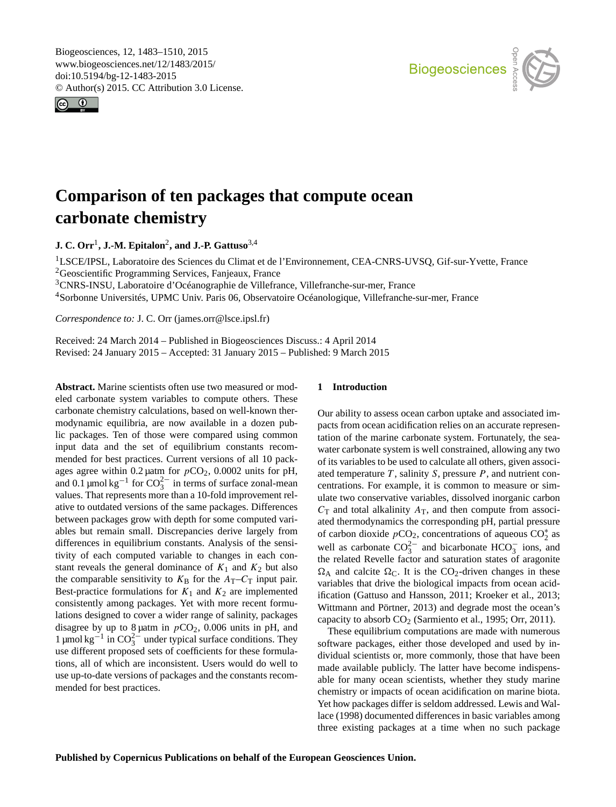<span id="page-0-1"></span>Biogeosciences, 12, 1483–1510, 2015 www.biogeosciences.net/12/1483/2015/ doi:10.5194/bg-12-1483-2015 © Author(s) 2015. CC Attribution 3.0 License.





# **Comparison of ten packages that compute ocean carbonate chemistry**

**J. C. Orr**[1](#page-0-0) **, J.-M. Epitalon**[2](#page-0-0) **, and J.-P. Gattuso**[3,4](#page-0-0)

<sup>1</sup>LSCE/IPSL, Laboratoire des Sciences du Climat et de l'Environnement, CEA-CNRS-UVSQ, Gif-sur-Yvette, France <sup>2</sup>Geoscientific Programming Services, Fanjeaux, France <sup>3</sup>CNRS-INSU, Laboratoire d'Océanographie de Villefrance, Villefranche-sur-mer, France

<sup>4</sup>Sorbonne Universités, UPMC Univ. Paris 06, Observatoire Océanologique, Villefranche-sur-mer, France

*Correspondence to:* J. C. Orr (james.orr@lsce.ipsl.fr)

Received: 24 March 2014 – Published in Biogeosciences Discuss.: 4 April 2014 Revised: 24 January 2015 – Accepted: 31 January 2015 – Published: 9 March 2015

<span id="page-0-0"></span>**Abstract.** Marine scientists often use two measured or modeled carbonate system variables to compute others. These carbonate chemistry calculations, based on well-known thermodynamic equilibria, are now available in a dozen public packages. Ten of those were compared using common input data and the set of equilibrium constants recommended for best practices. Current versions of all 10 packages agree within 0.2 µatm for  $pCO<sub>2</sub>$ , 0.0002 units for pH, and 0.1 µmol kg<sup>-1</sup> for  $CO_3^{2-}$  in terms of surface zonal-mean values. That represents more than a 10-fold improvement relative to outdated versions of the same packages. Differences between packages grow with depth for some computed variables but remain small. Discrepancies derive largely from differences in equilibrium constants. Analysis of the sensitivity of each computed variable to changes in each constant reveals the general dominance of  $K_1$  and  $K_2$  but also the comparable sensitivity to  $K_{\text{B}}$  for the  $A_{\text{T}}-C_{\text{T}}$  input pair. Best-practice formulations for  $K_1$  and  $K_2$  are implemented consistently among packages. Yet with more recent formulations designed to cover a wider range of salinity, packages disagree by up to 8  $\mu$ atm in  $pCO_2$ , 0.006 units in pH, and 1 µmol kg<sup>-1</sup> in CO<sub>3</sub><sup>-</sup> under typical surface conditions. They use different proposed sets of coefficients for these formulations, all of which are inconsistent. Users would do well to use up-to-date versions of packages and the constants recommended for best practices.

# **1 Introduction**

Our ability to assess ocean carbon uptake and associated impacts from ocean acidification relies on an accurate representation of the marine carbonate system. Fortunately, the seawater carbonate system is well constrained, allowing any two of its variables to be used to calculate all others, given associated temperature  $T$ , salinity  $S$ , pressure  $P$ , and nutrient concentrations. For example, it is common to measure or simulate two conservative variables, dissolved inorganic carbon  $C_T$  and total alkalinity  $A_T$ , and then compute from associated thermodynamics the corresponding pH, partial pressure of carbon dioxide  $pCO_2$ , concentrations of aqueous  $CO_2^*$  as well as carbonate  $CO_3^{2-}$  and bicarbonate  $HCO_3^-$  ions, and the related Revelle factor and saturation states of aragonite  $\Omega_A$  and calcite  $\Omega_C$ . It is the CO<sub>2</sub>-driven changes in these variables that drive the biological impacts from ocean acidification [\(Gattuso and Hansson,](#page-26-0) [2011;](#page-26-0) [Kroeker et al.,](#page-26-1) [2013;](#page-26-1) [Wittmann and Pörtner,](#page-27-0) [2013\)](#page-27-0) and degrade most the ocean's capacity to absorb  $CO<sub>2</sub>$  [\(Sarmiento et al.,](#page-27-1) [1995;](#page-27-1) [Orr,](#page-27-2) [2011\)](#page-27-2).

These equilibrium computations are made with numerous software packages, either those developed and used by individual scientists or, more commonly, those that have been made available publicly. The latter have become indispensable for many ocean scientists, whether they study marine chemistry or impacts of ocean acidification on marine biota. Yet how packages differ is seldom addressed. [Lewis and Wal](#page-26-2)[lace](#page-26-2) [\(1998\)](#page-26-2) documented differences in basic variables among three existing packages at a time when no such package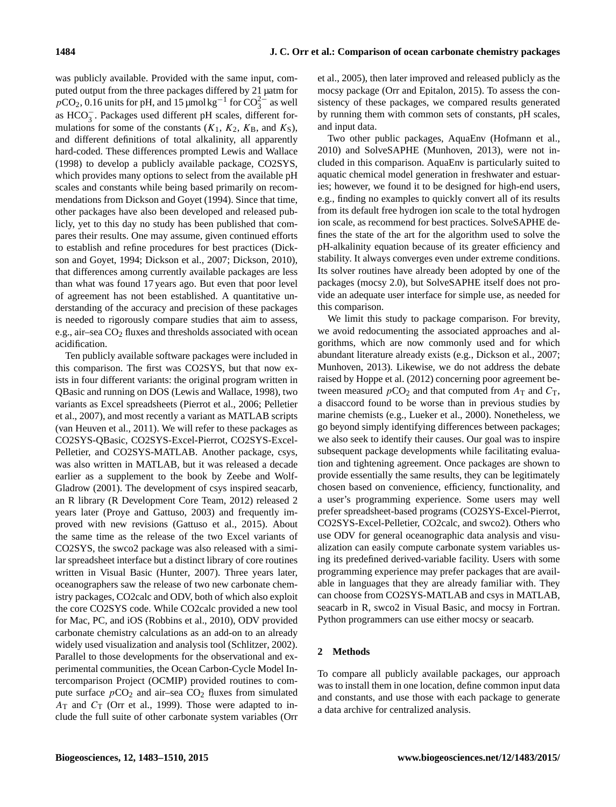was publicly available. Provided with the same input, computed output from the three packages differed by 21 µatm for  $pCO_2$ , 0.16 units for pH, and 15 µmol kg<sup>-1</sup> for  $CO_3^{2-}$  as well as HCO<sup>−</sup> 3 . Packages used different pH scales, different formulations for some of the constants  $(K_1, K_2, K_B,$  and  $K_S)$ , and different definitions of total alkalinity, all apparently hard-coded. These differences prompted [Lewis and Wallace](#page-26-2) [\(1998\)](#page-26-2) to develop a publicly available package, CO2SYS, which provides many options to select from the available pH scales and constants while being based primarily on recommendations from [Dickson and Goyet](#page-26-3) [\(1994\)](#page-26-3). Since that time, other packages have also been developed and released publicly, yet to this day no study has been published that compares their results. One may assume, given continued efforts to establish and refine procedures for best practices [\(Dick](#page-26-3)[son and Goyet,](#page-26-3) [1994;](#page-26-3) [Dickson et al.,](#page-26-4) [2007;](#page-26-4) [Dickson,](#page-26-5) [2010\)](#page-26-5), that differences among currently available packages are less than what was found 17 years ago. But even that poor level of agreement has not been established. A quantitative understanding of the accuracy and precision of these packages is needed to rigorously compare studies that aim to assess, e.g., air–sea  $CO<sub>2</sub>$  fluxes and thresholds associated with ocean acidification.

Ten publicly available software packages were included in this comparison. The first was CO2SYS, but that now exists in four different variants: the original program written in QBasic and running on DOS [\(Lewis and Wallace,](#page-26-2) [1998\)](#page-26-2), two variants as Excel spreadsheets [\(Pierrot et al.,](#page-27-3) [2006;](#page-27-3) [Pelletier](#page-27-4) [et al.,](#page-27-4) [2007\)](#page-27-4), and most recently a variant as MATLAB scripts [\(van Heuven et al.,](#page-27-5) [2011\)](#page-27-5). We will refer to these packages as CO2SYS-QBasic, CO2SYS-Excel-Pierrot, CO2SYS-Excel-Pelletier, and CO2SYS-MATLAB. Another package, csys, was also written in MATLAB, but it was released a decade earlier as a supplement to the book by [Zeebe and Wolf-](#page-27-6)[Gladrow](#page-27-6) [\(2001\)](#page-27-6). The development of csys inspired seacarb, an R library [\(R Development Core Team,](#page-27-7) [2012\)](#page-27-7) released 2 years later [\(Proye and Gattuso,](#page-27-8) [2003\)](#page-27-8) and frequently improved with new revisions [\(Gattuso et al.,](#page-26-6) [2015\)](#page-26-6). About the same time as the release of the two Excel variants of CO2SYS, the swco2 package was also released with a similar spreadsheet interface but a distinct library of core routines written in Visual Basic [\(Hunter,](#page-26-7) [2007\)](#page-26-7). Three years later, oceanographers saw the release of two new carbonate chemistry packages, CO2calc and ODV, both of which also exploit the core CO2SYS code. While CO2calc provided a new tool for Mac, PC, and iOS [\(Robbins et al.,](#page-27-9) [2010\)](#page-27-9), ODV provided carbonate chemistry calculations as an add-on to an already widely used visualization and analysis tool [\(Schlitzer,](#page-27-10) [2002\)](#page-27-10). Parallel to those developments for the observational and experimental communities, the Ocean Carbon-Cycle Model Intercomparison Project (OCMIP) provided routines to compute surface  $pCO_2$  and air–sea  $CO_2$  fluxes from simulated  $A_T$  and  $C_T$  [\(Orr et al.,](#page-27-11) [1999\)](#page-27-11). Those were adapted to include the full suite of other carbonate system variables [\(Orr](#page-27-12) [et al.,](#page-27-12) [2005\)](#page-27-12), then later improved and released publicly as the mocsy package [\(Orr and Epitalon,](#page-27-13) [2015\)](#page-27-13). To assess the consistency of these packages, we compared results generated by running them with common sets of constants, pH scales, and input data.

Two other public packages, AquaEnv [\(Hofmann et al.,](#page-26-8) [2010\)](#page-26-8) and SolveSAPHE [\(Munhoven,](#page-27-14) [2013\)](#page-27-14), were not included in this comparison. AquaEnv is particularly suited to aquatic chemical model generation in freshwater and estuaries; however, we found it to be designed for high-end users, e.g., finding no examples to quickly convert all of its results from its default free hydrogen ion scale to the total hydrogen ion scale, as recommend for best practices. SolveSAPHE defines the state of the art for the algorithm used to solve the pH-alkalinity equation because of its greater efficiency and stability. It always converges even under extreme conditions. Its solver routines have already been adopted by one of the packages (mocsy 2.0), but SolveSAPHE itself does not provide an adequate user interface for simple use, as needed for this comparison.

We limit this study to package comparison. For brevity, we avoid redocumenting the associated approaches and algorithms, which are now commonly used and for which abundant literature already exists (e.g., [Dickson et al.,](#page-26-4) [2007;](#page-26-4) [Munhoven,](#page-27-14) [2013\)](#page-27-14). Likewise, we do not address the debate raised by [Hoppe et al.](#page-26-9) [\(2012\)](#page-26-9) concerning poor agreement between measured  $pCO_2$  and that computed from  $A_T$  and  $C_T$ , a disaccord found to be worse than in previous studies by marine chemists (e.g., [Lueker et al.,](#page-26-10) [2000\)](#page-26-10). Nonetheless, we go beyond simply identifying differences between packages; we also seek to identify their causes. Our goal was to inspire subsequent package developments while facilitating evaluation and tightening agreement. Once packages are shown to provide essentially the same results, they can be legitimately chosen based on convenience, efficiency, functionality, and a user's programming experience. Some users may well prefer spreadsheet-based programs (CO2SYS-Excel-Pierrot, CO2SYS-Excel-Pelletier, CO2calc, and swco2). Others who use ODV for general oceanographic data analysis and visualization can easily compute carbonate system variables using its predefined derived-variable facility. Users with some programming experience may prefer packages that are available in languages that they are already familiar with. They can choose from CO2SYS-MATLAB and csys in MATLAB, seacarb in R, swco2 in Visual Basic, and mocsy in Fortran. Python programmers can use either mocsy or seacarb.

# **2 Methods**

To compare all publicly available packages, our approach was to install them in one location, define common input data and constants, and use those with each package to generate a data archive for centralized analysis.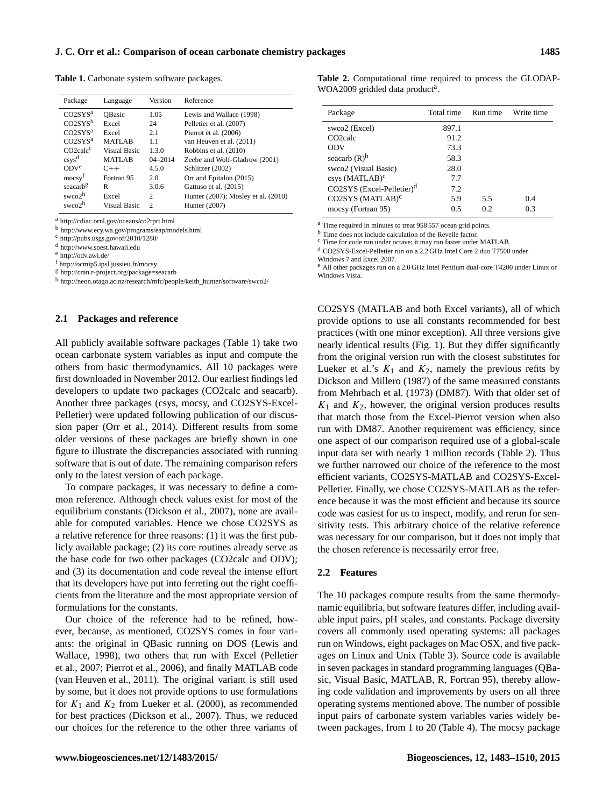<span id="page-2-0"></span>**Table 1.** Carbonate system software packages.

| Package               | Language      | Version       | Reference                           |
|-----------------------|---------------|---------------|-------------------------------------|
| CO2SYS <sup>a</sup>   | <b>OBasic</b> | 1.05          | Lewis and Wallace (1998)            |
| CO2SYS <sup>b</sup>   | Excel         | 24            | Pelletier et al. (2007)             |
| CO2SYS <sup>a</sup>   | Excel         | 2.1           | Pierrot et al. $(2006)$             |
| CO2SYS <sup>a</sup>   | <b>MATLAB</b> | 1.1           | van Heuven et al. (2011)            |
| CO2 <sub>calc</sub> c | Visual Basic  | 1.3.0         | Robbins et al. (2010)               |
| $\cos y s^d$          | <b>MATLAB</b> | $04 - 2014$   | Zeebe and Wolf-Gladrow (2001)       |
| ODV <sup>e</sup>      | $C++$         | 4.5.0         | Schlitzer (2002)                    |
| mocsy <sup>f</sup>    | Fortran 95    | 2.0           | Orr and Epitalon (2015)             |
| seacarbg              | R             | 3.0.6         | Gattuso et al. (2015)               |
| swco $2h$             | Excel         | 2             | Hunter (2007); Mosley et al. (2010) |
| $s$ wco $2h$          | Visual Basic  | $\mathcal{D}$ | Hunter (2007)                       |
|                       |               |               |                                     |

<sup>a</sup> <http://cdiac.ornl.gov/oceans/co2rprt.html>

<sup>b</sup> <http://www.ecy.wa.gov/programs/eap/models.html>

<sup>c</sup> <http://pubs.usgs.gov/of/2010/1280/>

<sup>d</sup> [http://www.soest.hawaii.edu](http://www.soest.hawaii.edu/oceanography/faculty/zeebe_files/CO2_System_in_Seawater/csys.html)

<sup>e</sup> <http://odv.awi.de/>

<sup>f</sup> <http://ocmip5.ipsl.jussieu.fr/mocsy>

<sup>g</sup> <http://cran.r-project.org/package=seacarb>

<sup>h</sup> [http://neon.otago.ac.nz/research/mfc/people/keith\\_hunter/software/swco2/](http://neon.otago.ac.nz/research/mfc/people/keith_hunter/software/swco2/)

#### **2.1 Packages and reference**

All publicly available software packages (Table [1\)](#page-2-0) take two ocean carbonate system variables as input and compute the others from basic thermodynamics. All 10 packages were first downloaded in November 2012. Our earliest findings led developers to update two packages (CO2calc and seacarb). Another three packages (csys, mocsy, and CO2SYS-Excel-Pelletier) were updated following publication of our discussion paper [\(Orr et al.,](#page-27-16) [2014\)](#page-27-16). Different results from some older versions of these packages are briefly shown in one figure to illustrate the discrepancies associated with running software that is out of date. The remaining comparison refers only to the latest version of each package.

To compare packages, it was necessary to define a common reference. Although check values exist for most of the equilibrium constants [\(Dickson et al.,](#page-26-4) [2007\)](#page-26-4), none are available for computed variables. Hence we chose CO2SYS as a relative reference for three reasons: (1) it was the first publicly available package; (2) its core routines already serve as the base code for two other packages (CO2calc and ODV); and (3) its documentation and code reveal the intense effort that its developers have put into ferreting out the right coefficients from the literature and the most appropriate version of formulations for the constants.

Our choice of the reference had to be refined, however, because, as mentioned, CO2SYS comes in four variants: the original in QBasic running on DOS [\(Lewis and](#page-26-2) [Wallace,](#page-26-2) [1998\)](#page-26-2), two others that run with Excel [\(Pelletier](#page-27-4) [et al.,](#page-27-4) [2007;](#page-27-4) [Pierrot et al.,](#page-27-3) [2006\)](#page-27-3), and finally MATLAB code [\(van Heuven et al.,](#page-27-5) [2011\)](#page-27-5). The original variant is still used by some, but it does not provide options to use formulations for  $K_1$  and  $K_2$  from [Lueker et al.](#page-26-10) [\(2000\)](#page-26-10), as recommended for best practices [\(Dickson et al.,](#page-26-4) [2007\)](#page-26-4). Thus, we reduced our choices for the reference to the other three variants of <span id="page-2-1"></span>**Table 2.** Computational time required to process the GLODAP-WOA2009 gridded data product<sup>a</sup>.

| Package                               | Total time | Run time | Write time |
|---------------------------------------|------------|----------|------------|
| swco2 (Excel)                         | 897.1      |          |            |
| CO <sub>2calc</sub>                   | 91.2       |          |            |
| ODV                                   | 73.3       |          |            |
| seacarb $(R)^b$                       | 58.3       |          |            |
| swco2 (Visual Basic)                  | 28.0       |          |            |
| $csys$ (MATLAB) <sup>c</sup>          | 7.7        |          |            |
| CO2SYS (Excel-Pelletier) <sup>d</sup> | 7.2        |          |            |
| CO2SYS (MATLAB) <sup>c</sup>          | 5.9        | 5.5      | 0.4        |
| mocsy (Fortran 95)                    | 0.5        | 0.2      | 0.3        |

<sup>a</sup> Time required in minutes to treat 958 557 ocean grid points.

<sup>b</sup> Time does not include calculation of the Revelle factor.

<sup>c</sup> Time for code run under octave; it may run faster under MATLAB.

<sup>d</sup> CO2SYS-Excel-Pelletier run on a 2.2 GHz Intel Core 2 duo T7500 under

Windows 7 and Excel 2007. <sup>e</sup> All other packages run on a 2.0 GHz Intel Pentium dual-core T4200 under Linux or Windows Vista.

CO2SYS (MATLAB and both Excel variants), all of which provide options to use all constants recommended for best practices (with one minor exception). All three versions give nearly identical results (Fig. [1\)](#page-3-0). But they differ significantly from the original version run with the closest substitutes for [Lueker et al.'](#page-26-10)s  $K_1$  and  $K_2$ , namely the previous refits by [Dickson and Millero](#page-26-11) [\(1987\)](#page-26-11) of the same measured constants from [Mehrbach et al.](#page-27-17) [\(1973\)](#page-27-17) (DM87). With that older set of  $K_1$  and  $K_2$ , however, the original version produces results that match those from the Excel-Pierrot version when also run with DM87. Another requirement was efficiency, since one aspect of our comparison required use of a global-scale input data set with nearly 1 million records (Table [2\)](#page-2-1). Thus we further narrowed our choice of the reference to the most efficient variants, CO2SYS-MATLAB and CO2SYS-Excel-Pelletier. Finally, we chose CO2SYS-MATLAB as the reference because it was the most efficient and because its source code was easiest for us to inspect, modify, and rerun for sensitivity tests. This arbitrary choice of the relative reference was necessary for our comparison, but it does not imply that the chosen reference is necessarily error free.

## **2.2 Features**

The 10 packages compute results from the same thermodynamic equilibria, but software features differ, including available input pairs, pH scales, and constants. Package diversity covers all commonly used operating systems: all packages run on Windows, eight packages on Mac OSX, and five packages on Linux and Unix (Table [3\)](#page-4-0). Source code is available in seven packages in standard programming languages (QBasic, Visual Basic, MATLAB, R, Fortran 95), thereby allowing code validation and improvements by users on all three operating systems mentioned above. The number of possible input pairs of carbonate system variables varies widely between packages, from 1 to 20 (Table [4\)](#page-4-1). The mocsy package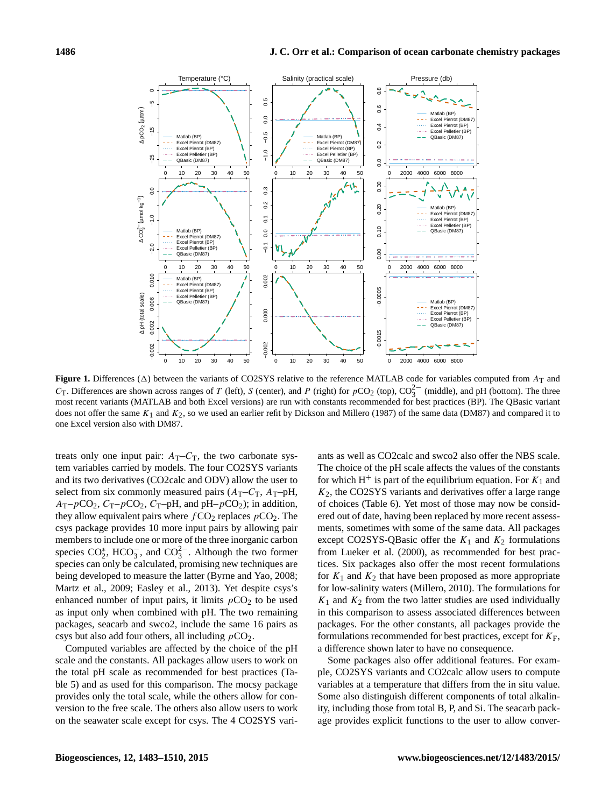<span id="page-3-0"></span>

**Figure 1.** Differences ( $\Delta$ ) between the variants of CO2SYS relative to the reference MATLAB code for variables computed from  $A_T$  and C<sub>T</sub>. Differences are shown across ranges of T (left), S (center), and P (right) for  $pCO_2$  (top),  $CO_3^{2-}$  (middle), and pH (bottom). The three most recent variants (MATLAB and both Excel versions) are run with constants recommended for best practices (BP). The QBasic variant does not offer the same  $K_1$  and  $K_2$ , so we used an earlier refit by [Dickson and Millero](#page-26-11) [\(1987\)](#page-26-11) of the same data (DM87) and compared it to one Excel version also with DM87.

treats only one input pair:  $A_T - C_T$ , the two carbonate system variables carried by models. The four CO2SYS variants and its two derivatives (CO2calc and ODV) allow the user to select from six commonly measured pairs  $(A_T-C_T, A_T-pH)$ ,  $A_T-pCO_2$ ,  $C_T-pCO_2$ ,  $C_T-pH$ , and  $pH-pCO_2$ ); in addition, they allow equivalent pairs where  $fCO_2$  replaces  $pCO_2$ . The csys package provides 10 more input pairs by allowing pair members to include one or more of the three inorganic carbon species  $CO_2^*$ , HCO<sub>3</sub><sup>-</sup>, and CO<sub>3</sub><sup>-</sup>. Although the two former species can only be calculated, promising new techniques are being developed to measure the latter [\(Byrne and Yao,](#page-26-12) [2008;](#page-26-12) [Martz et al.,](#page-27-18) [2009;](#page-27-18) [Easley et al.,](#page-26-13) [2013\)](#page-26-13). Yet despite csys's enhanced number of input pairs, it limits  $pCO<sub>2</sub>$  to be used as input only when combined with pH. The two remaining packages, seacarb and swco2, include the same 16 pairs as csys but also add four others, all including  $pCO<sub>2</sub>$ .

Computed variables are affected by the choice of the pH scale and the constants. All packages allow users to work on the total pH scale as recommended for best practices (Table [5\)](#page-5-0) and as used for this comparison. The mocsy package provides only the total scale, while the others allow for conversion to the free scale. The others also allow users to work on the seawater scale except for csys. The 4 CO2SYS vari-

ants as well as CO2calc and swco2 also offer the NBS scale. The choice of the pH scale affects the values of the constants for which  $H^+$  is part of the equilibrium equation. For  $K_1$  and  $K<sub>2</sub>$ , the CO2SYS variants and derivatives offer a large range of choices (Table [6\)](#page-5-1). Yet most of those may now be considered out of date, having been replaced by more recent assessments, sometimes with some of the same data. All packages except CO2SYS-QBasic offer the  $K_1$  and  $K_2$  formulations from [Lueker et al.](#page-26-10) [\(2000\)](#page-26-10), as recommended for best practices. Six packages also offer the most recent formulations for  $K_1$  and  $K_2$  that have been proposed as more appropriate for low-salinity waters [\(Millero,](#page-27-19) [2010\)](#page-27-19). The formulations for  $K_1$  and  $K_2$  from the two latter studies are used individually in this comparison to assess associated differences between packages. For the other constants, all packages provide the formulations recommended for best practices, except for  $K_F$ , a difference shown later to have no consequence.

Some packages also offer additional features. For example, CO2SYS variants and CO2calc allow users to compute variables at a temperature that differs from the in situ value. Some also distinguish different components of total alkalinity, including those from total B, P, and Si. The seacarb package provides explicit functions to the user to allow conver-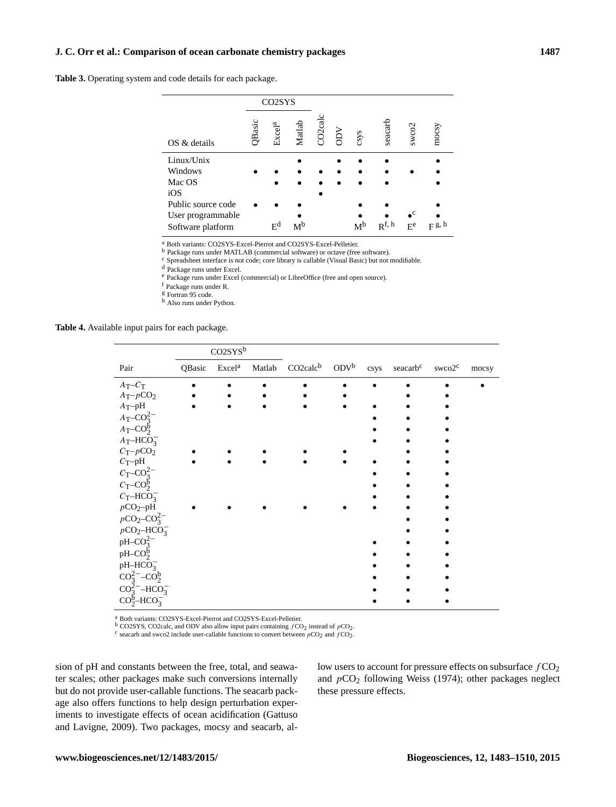# **J. C. Orr et al.: Comparison of ocean carbonate chemistry packages 1487**

<span id="page-4-0"></span>**Table 3.** Operating system and code details for each package.

|                                        |        | CO <sub>2</sub> SY <sub>S</sub> |                |                    |     |                |                   |                                |            |
|----------------------------------------|--------|---------------------------------|----------------|--------------------|-----|----------------|-------------------|--------------------------------|------------|
| OS & details                           | QBasic | Excel <sup>a</sup>              | Matlab         | CO <sub>2cal</sub> | NCC | csys           | seacarb           | swco2                          | mocsy      |
| Linux/Unix                             |        |                                 |                |                    |     |                |                   |                                |            |
| Windows                                |        |                                 |                |                    |     |                |                   |                                |            |
| Mac OS                                 |        |                                 |                |                    |     |                |                   |                                |            |
| iOS                                    |        |                                 |                |                    |     |                |                   |                                |            |
| Public source code                     |        |                                 |                |                    |     |                |                   |                                |            |
| User programmable<br>Software platform |        | $\mathbf{E}^{\mathbf{d}}$       | M <sup>b</sup> |                    |     | M <sup>b</sup> | $\mathbf{p}$ f, h | $\mathbf{C}$<br>E <sup>e</sup> | $F^{g, h}$ |

<sup>a</sup> Both variants: CO2SYS-Excel-Pierrot and CO2SYS-Excel-Pelletier.

<sup>b</sup> Package runs under MATLAB (commercial software) or octave (free software).

 $\rm ^c$  Spreadsheet interface is not code; core library is callable (Visual Basic) but not modifiable.

<sup>d</sup> Package runs under Excel.

<sup>e</sup> Package runs under Excel (commercial) or LibreOffice (free and open source).

<sup>f</sup> Package runs under R.

<sup>g</sup> Fortran 95 code.

<sup>h</sup> Also runs under Python.

<span id="page-4-1"></span>**Table 4.** Available input pairs for each package.

|                               |        | CO2SYS <sup>b</sup> |                             |                  |      |                      |                    |       |
|-------------------------------|--------|---------------------|-----------------------------|------------------|------|----------------------|--------------------|-------|
| Pair                          | QBasic | Excel <sup>a</sup>  | Matlab CO2calc <sup>b</sup> | ODV <sup>b</sup> | csys | seacarb <sup>c</sup> | swco2 <sup>c</sup> | mocsy |
| $A_T - C_T$                   |        |                     |                             |                  |      |                      |                    |       |
| $A_{\rm T} {-} p{\rm CO_2}$   |        |                     |                             |                  |      |                      |                    |       |
| $A_T$ -pH                     |        |                     |                             |                  |      |                      |                    |       |
| $A_T$ – $CO_3^{2-}$           |        |                     |                             |                  |      |                      |                    |       |
| $A_T$ – $CO_2^b$              |        |                     |                             |                  |      |                      |                    |       |
| $A_T-HCO_3^-$                 |        |                     |                             |                  |      |                      |                    |       |
| $C_T-pCO_2$                   |        |                     |                             |                  |      |                      |                    |       |
| $C_T$ -pH                     |        |                     |                             |                  |      |                      |                    |       |
| $C_T$ – $CO_3^{2-}$           |        |                     |                             |                  |      |                      |                    |       |
| $C_T$ – $CO_2^6$              |        |                     |                             |                  |      |                      |                    |       |
| $C_T-HCO_3^-$                 |        |                     |                             |                  |      |                      |                    |       |
| $pCO2-pH$                     |        |                     |                             |                  |      |                      |                    |       |
| $pCO_2-CO_3^{2-}$             |        |                     |                             |                  |      |                      |                    |       |
| $pCO2 - HCO3$                 |        |                     |                             |                  |      |                      |                    |       |
| $pH$ – $CO_2^{2-}$            |        |                     |                             |                  |      |                      |                    |       |
| $pH$ – $CO_2^b$               |        |                     |                             |                  |      |                      |                    |       |
| $pH-HCO3$                     |        |                     |                             |                  |      |                      |                    |       |
| $CO_3^{2-}$ - $CO_2^b$        |        |                     |                             |                  |      |                      |                    |       |
| $CO_3^{2-}$ -HCO <sub>3</sub> |        |                     |                             |                  |      |                      |                    |       |
| $CO_2^b$ -HCO <sub>3</sub>    |        |                     |                             |                  |      |                      |                    |       |
|                               |        |                     |                             |                  |      |                      |                    |       |

<sup>a</sup> Both variants: CO2SYS-Excel-Pierrot and CO2SYS-Excel-Pelletier.

 $\frac{b}{c}$  CO2SYS, CO2calc, and ODV also allow input pairs containing  $fCO_2$  instead of  $pCO_2$ .

<sup>c</sup> seacarb and swco2 include user-callable functions to convert between  $pCO_2$  and  $fCO_2$ .

sion of pH and constants between the free, total, and seawater scales; other packages make such conversions internally but do not provide user-callable functions. The seacarb package also offers functions to help design perturbation experiments to investigate effects of ocean acidification [\(Gattuso](#page-26-14) [and Lavigne,](#page-26-14) [2009\)](#page-26-14). Two packages, mocsy and seacarb, allow users to account for pressure effects on subsurface  $fCO<sub>2</sub>$ and  $pCO<sub>2</sub>$  following [Weiss](#page-27-20) [\(1974\)](#page-27-20); other packages neglect these pressure effects.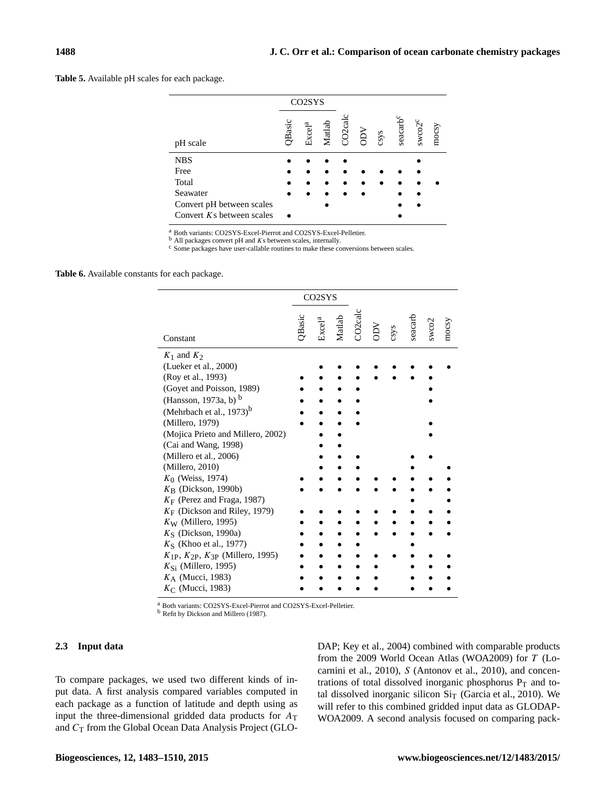<span id="page-5-0"></span>**Table 5.** Available pH scales for each package.

|                             |        | CO <sub>2</sub> SY <sub>S</sub> |        |                    |     |      |                            |               |       |
|-----------------------------|--------|---------------------------------|--------|--------------------|-----|------|----------------------------|---------------|-------|
| pH scale                    | QBasic | Excel <sup>a</sup>              | Matlab | CO <sub>2cal</sub> | ODV | csys | $\mbox{search}^{\mbox{c}}$ | $s$ wco $2^c$ | mocsy |
| <b>NBS</b>                  |        |                                 |        |                    |     |      |                            |               |       |
| Free                        |        |                                 |        |                    |     |      |                            |               |       |
| Total                       |        |                                 |        |                    |     |      |                            |               |       |
| Seawater                    |        |                                 |        |                    |     |      |                            |               |       |
| Convert pH between scales   |        |                                 |        |                    |     |      |                            |               |       |
| Convert $Ks$ between scales |        |                                 |        |                    |     |      |                            |               |       |

<sup>a</sup> Both variants: CO2SYS-Excel-Pierrot and CO2SYS-Excel-Pelletier.

 $<sup>b</sup>$  All packages convert pH and *K*s between scales, internally.</sup>

<sup>c</sup> Some packages have user-callable routines to make these conversions between scales.

<span id="page-5-1"></span>**Table 6.** Available constants for each package.

|                                                |        | CO <sub>2</sub> SY <sub>S</sub> |  |                                                       |         |       |       |
|------------------------------------------------|--------|---------------------------------|--|-------------------------------------------------------|---------|-------|-------|
| Constant                                       | QBasic |                                 |  | Excel <sup>a</sup><br>Matlab<br>CO2calc<br>ODV<br>ODV | seacarb | swco2 | mocsy |
| $K_1$ and $K_2$                                |        |                                 |  |                                                       |         |       |       |
| (Lueker et al., 2000)                          |        |                                 |  |                                                       |         |       |       |
| (Roy et al., 1993)                             |        |                                 |  |                                                       |         |       |       |
| (Goyet and Poisson, 1989)                      |        |                                 |  |                                                       |         |       |       |
| (Hansson, 1973a, b) <sup>b</sup>               |        |                                 |  |                                                       |         |       |       |
| (Mehrbach et al., $1973$ ) <sup>b</sup>        |        |                                 |  |                                                       |         |       |       |
| (Millero, 1979)                                |        |                                 |  |                                                       |         |       |       |
| (Mojica Prieto and Millero, 2002)              |        |                                 |  |                                                       |         |       |       |
| (Cai and Wang, 1998)                           |        |                                 |  |                                                       |         |       |       |
| (Millero et al., 2006)                         |        |                                 |  |                                                       |         |       |       |
| (Millero, 2010)                                |        |                                 |  |                                                       |         |       |       |
| $K_0$ (Weiss, 1974)                            |        |                                 |  |                                                       |         |       |       |
| $K_{\rm B}$ (Dickson, 1990b)                   |        |                                 |  |                                                       |         |       |       |
| $K_F$ (Perez and Fraga, 1987)                  |        |                                 |  |                                                       |         |       |       |
| $K_F$ (Dickson and Riley, 1979)                |        |                                 |  |                                                       |         |       |       |
| $K_{\rm W}$ (Millero, 1995)                    |        |                                 |  |                                                       |         |       |       |
| $KS$ (Dickson, 1990a)                          |        |                                 |  |                                                       |         |       |       |
| $KS$ (Khoo et al., 1977)                       |        |                                 |  |                                                       |         |       |       |
| $K_{1P}$ , $K_{2P}$ , $K_{3P}$ (Millero, 1995) |        |                                 |  |                                                       |         |       |       |
| $K_{\rm Si}$ (Millero, 1995)                   |        |                                 |  |                                                       |         |       |       |
| $K_A$ (Mucci, 1983)                            |        |                                 |  |                                                       |         |       |       |
| $K_{\rm C}$ (Mucci, 1983)                      |        |                                 |  |                                                       |         |       |       |

<sup>a</sup> Both variants: CO2SYS-Excel-Pierrot and CO2SYS-Excel-Pelletier. b Refit by [Dickson and Millero](#page-26-11) [\(1987\)](#page-26-11).

## **2.3 Input data**

To compare packages, we used two different kinds of input data. A first analysis compared variables computed in each package as a function of latitude and depth using as input the three-dimensional gridded data products for  $A_T$ and  $C_T$  from the Global Ocean Data Analysis Project (GLO- DAP; [Key et al.,](#page-26-23) [2004\)](#page-26-23) combined with comparable products from the 2009 World Ocean Atlas (WOA2009) for T [\(Lo](#page-26-24)[carnini et al.,](#page-26-24) [2010\)](#page-26-24), S [\(Antonov et al.,](#page-26-25) [2010\)](#page-26-25), and concentrations of total dissolved inorganic phosphorus  $P_T$  and total dissolved inorganic silicon  $\text{Si}_{\text{T}}$  [\(Garcia et al.,](#page-26-26) [2010\)](#page-26-26). We will refer to this combined gridded input data as GLODAP-WOA2009. A second analysis focused on comparing pack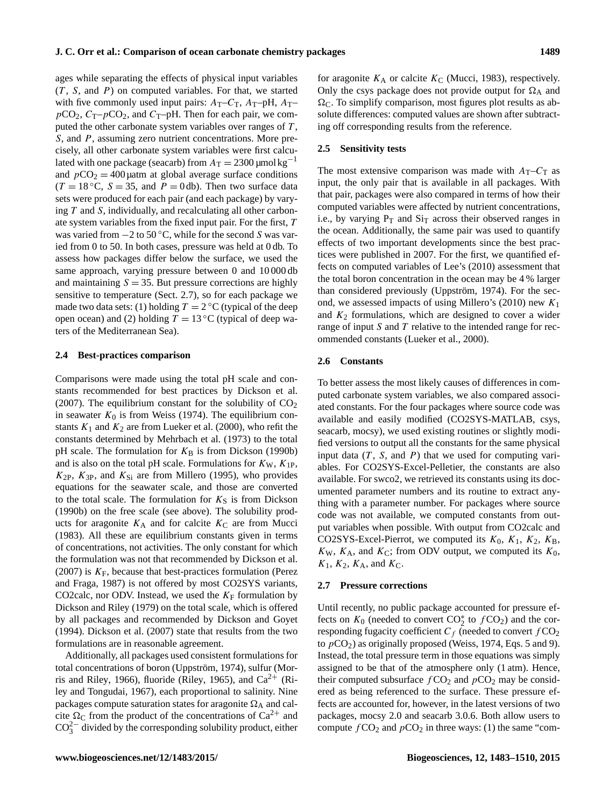ages while separating the effects of physical input variables  $(T, S, and P)$  on computed variables. For that, we started with five commonly used input pairs:  $A_T-C_T$ ,  $A_T$ -pH,  $A_T$  $pCO_2$ ,  $C_T-pCO_2$ , and  $C_T$ -pH. Then for each pair, we computed the other carbonate system variables over ranges of  $T$ , S, and P, assuming zero nutrient concentrations. More precisely, all other carbonate system variables were first calculated with one package (seacarb) from  $A_T = 2300 \,\text{\mu}$ mol kg<sup>-1</sup> and  $pCO_2 = 400 \mu$ atm at global average surface conditions  $(T = 18 \degree C, S = 35, \text{ and } P = 0 \text{ db})$ . Then two surface data sets were produced for each pair (and each package) by varying T and S, individually, and recalculating all other carbonate system variables from the fixed input pair. For the first, T was varied from  $-2$  to 50 °C, while for the second S was varied from 0 to 50. In both cases, pressure was held at 0 db. To assess how packages differ below the surface, we used the same approach, varying pressure between 0 and 10 000 db and maintaining  $S = 35$ . But pressure corrections are highly sensitive to temperature (Sect. [2.7\)](#page-6-0), so for each package we made two data sets: (1) holding  $T = 2^{\circ}C$  (typical of the deep open ocean) and (2) holding  $T = 13 \degree C$  (typical of deep waters of the Mediterranean Sea).

#### **2.4 Best-practices comparison**

Comparisons were made using the total pH scale and constants recommended for best practices by [Dickson et al.](#page-26-4) [\(2007\)](#page-26-4). The equilibrium constant for the solubility of  $CO<sub>2</sub>$ in seawater  $K_0$  is from [Weiss](#page-27-20) [\(1974\)](#page-27-20). The equilibrium constants  $K_1$  and  $K_2$  are from [Lueker et al.](#page-26-10) [\(2000\)](#page-26-10), who refit the constants determined by [Mehrbach et al.](#page-27-17) [\(1973\)](#page-27-17) to the total pH scale. The formulation for  $K_B$  is from [Dickson](#page-26-19) [\(1990b\)](#page-26-19) and is also on the total pH scale. Formulations for  $K_{\rm W}$ ,  $K_{1\rm P}$ ,  $K_{2P}$ ,  $K_{3P}$ , and  $K_{Si}$  are from [Millero](#page-27-26) [\(1995\)](#page-27-26), who provides equations for the seawater scale, and those are converted to the total scale. The formulation for  $K<sub>S</sub>$  is from [Dickson](#page-26-19) [\(1990b\)](#page-26-19) on the free scale (see above). The solubility products for aragonite  $K_A$  and for calcite  $K_C$  are from [Mucci](#page-27-27) [\(1983\)](#page-27-27). All these are equilibrium constants given in terms of concentrations, not activities. The only constant for which the formulation was not that recommended by [Dickson et al.](#page-26-4) [\(2007\)](#page-26-4) is  $K_F$ , because that best-practices formulation [\(Perez](#page-27-25) [and Fraga,](#page-27-25) [1987\)](#page-27-25) is not offered by most CO2SYS variants, CO2calc, nor ODV. Instead, we used the  $K_F$  formulation by [Dickson and Riley](#page-26-20) [\(1979\)](#page-26-20) on the total scale, which is offered by all packages and recommended by [Dickson and Goyet](#page-26-3) [\(1994\)](#page-26-3). [Dickson et al.](#page-26-4) [\(2007\)](#page-26-4) state that results from the two formulations are in reasonable agreement.

Additionally, all packages used consistent formulations for total concentrations of boron [\(Uppström,](#page-27-28) [1974\)](#page-27-28), sulfur [\(Mor](#page-27-29)[ris and Riley,](#page-27-29) [1966\)](#page-27-29), fluoride [\(Riley,](#page-27-30) [1965\)](#page-27-30), and  $Ca^{2+}$  [\(Ri](#page-27-31)[ley and Tongudai,](#page-27-31) [1967\)](#page-27-31), each proportional to salinity. Nine packages compute saturation states for aragonite  $\Omega_A$  and calcite  $\Omega_{\rm C}$  from the product of the concentrations of  $Ca^{2+}$  and  $CO_3^{2-}$  divided by the corresponding solubility product, either

for aragonite  $K_A$  or calcite  $K_C$  [\(Mucci,](#page-27-27) [1983\)](#page-27-27), respectively. Only the csys package does not provide output for  $\Omega_A$  and  $\Omega_{\rm C}$ . To simplify comparison, most figures plot results as absolute differences: computed values are shown after subtracting off corresponding results from the reference.

# **2.5 Sensitivity tests**

The most extensive comparison was made with  $A_T-C_T$  as input, the only pair that is available in all packages. With that pair, packages were also compared in terms of how their computed variables were affected by nutrient concentrations, i.e., by varying  $P_T$  and  $Si_T$  across their observed ranges in the ocean. Additionally, the same pair was used to quantify effects of two important developments since the best practices were published in 2007. For the first, we quantified effects on computed variables of Lee's [\(2010\)](#page-26-27) assessment that the total boron concentration in the ocean may be 4 % larger than considered previously [\(Uppström,](#page-27-28) [1974\)](#page-27-28). For the sec-ond, we assessed impacts of using Millero's [\(2010\)](#page-27-19) new  $K_1$ and  $K_2$  formulations, which are designed to cover a wider range of input  $S$  and  $T$  relative to the intended range for recommended constants [\(Lueker et al.,](#page-26-10) [2000\)](#page-26-10).

#### **2.6 Constants**

To better assess the most likely causes of differences in computed carbonate system variables, we also compared associated constants. For the four packages where source code was available and easily modified (CO2SYS-MATLAB, csys, seacarb, mocsy), we used existing routines or slightly modified versions to output all the constants for the same physical input data  $(T, S, \text{ and } P)$  that we used for computing variables. For CO2SYS-Excel-Pelletier, the constants are also available. For swco2, we retrieved its constants using its documented parameter numbers and its routine to extract anything with a parameter number. For packages where source code was not available, we computed constants from output variables when possible. With output from CO2calc and CO2SYS-Excel-Pierrot, we computed its  $K_0$ ,  $K_1$ ,  $K_2$ ,  $K_B$ ,  $K_{\rm W}$ ,  $K_{\rm A}$ , and  $K_{\rm C}$ ; from ODV output, we computed its  $K_0$ ,  $K_1$ ,  $K_2$ ,  $K_A$ , and  $K_C$ .

# <span id="page-6-0"></span>**2.7 Pressure corrections**

Until recently, no public package accounted for pressure effects on  $K_0$  (needed to convert  $CO_2^*$  to  $fCO_2$ ) and the corresponding fugacity coefficient  $C_f$  (needed to convert  $fCO_2$ to  $pCO<sub>2</sub>$ ) as originally proposed [\(Weiss,](#page-27-20) [1974,](#page-27-20) Eqs. 5 and 9). Instead, the total pressure term in those equations was simply assigned to be that of the atmosphere only (1 atm). Hence, their computed subsurface  $fCO<sub>2</sub>$  and  $pCO<sub>2</sub>$  may be considered as being referenced to the surface. These pressure effects are accounted for, however, in the latest versions of two packages, mocsy 2.0 and seacarb 3.0.6. Both allow users to compute  $fCO_2$  and  $pCO_2$  in three ways: (1) the same "com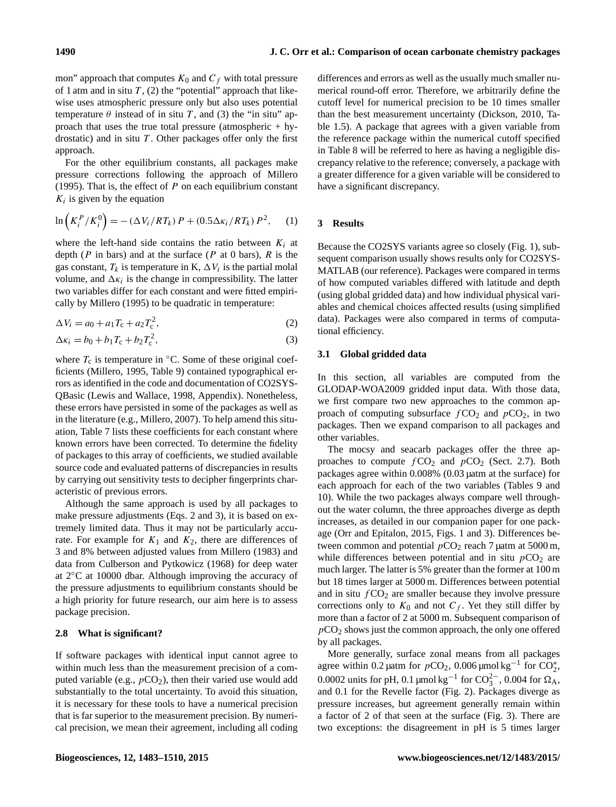mon" approach that computes  $K_0$  and  $C_f$  with total pressure of 1 atm and in situ  $T$ , (2) the "potential" approach that likewise uses atmospheric pressure only but also uses potential temperature  $\theta$  instead of in situ T, and (3) the "in situ" approach that uses the true total pressure (atmospheric + hydrostatic) and in situ  $T$ . Other packages offer only the first approach.

For the other equilibrium constants, all packages make pressure corrections following the approach of [Millero](#page-27-26) [\(1995\)](#page-27-26). That is, the effect of  $P$  on each equilibrium constant  $K_i$  is given by the equation

$$
\ln\left(K_i^P/K_i^0\right) = -\left(\frac{\Delta V_i}{RT_k}\right)P + \left(0.5\frac{\Delta K_i}{RT_k}\right)P^2,\tag{1}
$$

where the left-hand side contains the ratio between  $K_i$  at depth (P in bars) and at the surface (P at 0 bars), R is the gas constant,  $T_k$  is temperature in K,  $\Delta V_i$  is the partial molal volume, and  $\Delta \kappa_i$  is the change in compressibility. The latter two variables differ for each constant and were fitted empirically by [Millero](#page-27-26) [\(1995\)](#page-27-26) to be quadratic in temperature:

$$
\Delta V_i = a_0 + a_1 T_c + a_2 T_c^2, \tag{2}
$$

$$
\Delta \kappa_i = b_0 + b_1 T_c + b_2 T_c^2, \tag{3}
$$

where  $T_c$  is temperature in  $°C$ . Some of these original coefficients [\(Millero,](#page-27-26) [1995,](#page-27-26) Table 9) contained typographical errors as identified in the code and documentation of CO2SYS-QBasic [\(Lewis and Wallace,](#page-26-2) [1998,](#page-26-2) Appendix). Nonetheless, these errors have persisted in some of the packages as well as in the literature (e.g., [Millero,](#page-27-32) [2007\)](#page-27-32). To help amend this situation, Table [7](#page-8-0) lists these coefficients for each constant where known errors have been corrected. To determine the fidelity of packages to this array of coefficients, we studied available source code and evaluated patterns of discrepancies in results by carrying out sensitivity tests to decipher fingerprints characteristic of previous errors.

Although the same approach is used by all packages to make pressure adjustments (Eqs. [2](#page-7-0) and [3\)](#page-7-1), it is based on extremely limited data. Thus it may not be particularly accurate. For example for  $K_1$  and  $K_2$ , there are differences of 3 and 8% between adjusted values from [Millero](#page-27-33) [\(1983\)](#page-27-33) and data from [Culberson and Pytkowicz](#page-26-28) [\(1968\)](#page-26-28) for deep water at 2◦C at 10000 dbar. Although improving the accuracy of the pressure adjustments to equilibrium constants should be a high priority for future research, our aim here is to assess package precision.

# **2.8 What is significant?**

If software packages with identical input cannot agree to within much less than the measurement precision of a computed variable (e.g.,  $pCO<sub>2</sub>$ ), then their varied use would add substantially to the total uncertainty. To avoid this situation, it is necessary for these tools to have a numerical precision that is far superior to the measurement precision. By numerical precision, we mean their agreement, including all coding

differences and errors as well as the usually much smaller numerical round-off error. Therefore, we arbitrarily define the cutoff level for numerical precision to be 10 times smaller than the best measurement uncertainty [\(Dickson,](#page-26-5) [2010,](#page-26-5) Table 1.5). A package that agrees with a given variable from the reference package within the numerical cutoff specified in Table [8](#page-8-1) will be referred to here as having a negligible discrepancy relative to the reference; conversely, a package with a greater difference for a given variable will be considered to have a significant discrepancy.

#### **3 Results**

Because the CO2SYS variants agree so closely (Fig. [1\)](#page-3-0), subsequent comparison usually shows results only for CO2SYS-MATLAB (our reference). Packages were compared in terms of how computed variables differed with latitude and depth (using global gridded data) and how individual physical variables and chemical choices affected results (using simplified data). Packages were also compared in terms of computational efficiency.

# <span id="page-7-2"></span><span id="page-7-1"></span><span id="page-7-0"></span>**3.1 Global gridded data**

In this section, all variables are computed from the GLODAP-WOA2009 gridded input data. With those data, we first compare two new approaches to the common approach of computing subsurface  $fCO_2$  and  $pCO_2$ , in two packages. Then we expand comparison to all packages and other variables.

The mocsy and seacarb packages offer the three approaches to compute  $fCO<sub>2</sub>$  and  $pCO<sub>2</sub>$  (Sect. [2.7\)](#page-6-0). Both packages agree within 0.008% (0.03 µatm at the surface) for each approach for each of the two variables (Tables [9](#page-10-0) and [10\)](#page-10-1). While the two packages always compare well throughout the water column, the three approaches diverge as depth increases, as detailed in our companion paper for one package [\(Orr and Epitalon,](#page-27-13) [2015,](#page-27-13) Figs. 1 and 3). Differences between common and potential  $pCO_2$  reach 7 µatm at 5000 m, while differences between potential and in situ  $pCO<sub>2</sub>$  are much larger. The latter is 5% greater than the former at 100 m but 18 times larger at 5000 m. Differences between potential and in situ  $fCO<sub>2</sub>$  are smaller because they involve pressure corrections only to  $K_0$  and not  $C_f$ . Yet they still differ by more than a factor of 2 at 5000 m. Subsequent comparison of  $pCO<sub>2</sub>$  shows just the common approach, the only one offered by all packages.

More generally, surface zonal means from all packages agree within 0.2 µatm for  $pCO_2$ , 0.006 µmol kg<sup>-1</sup> for  $CO_2^*$ , 0.0002 units for pH, 0.1 µmol kg<sup>-1</sup> for  $CO_3^{2-}$ , 0.004 for  $\Omega_A$ , and 0.1 for the Revelle factor (Fig. [2\)](#page-9-0). Packages diverge as pressure increases, but agreement generally remain within a factor of 2 of that seen at the surface (Fig. [3\)](#page-9-1). There are two exceptions: the disagreement in pH is 5 times larger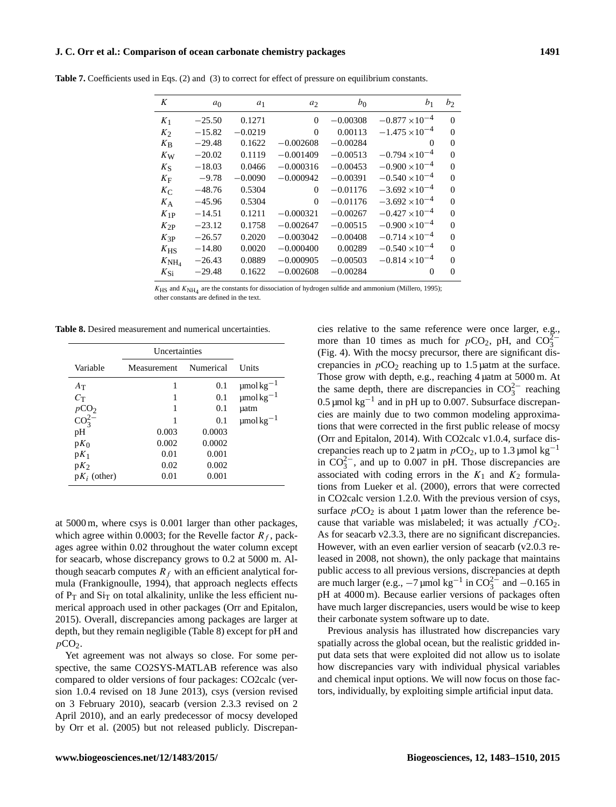#### **J. C. Orr et al.: Comparison of ocean carbonate chemistry packages 1491**

| K                   | a <sub>0</sub> | $a_1$     | a <sub>2</sub> | $b_0$      | b <sub>1</sub>          | $b_2$    |
|---------------------|----------------|-----------|----------------|------------|-------------------------|----------|
| $K_1$               | $-25.50$       | 0.1271    | $\Omega$       | $-0.00308$ | $-0.877 \times 10^{-4}$ | $\Omega$ |
| $K_2$               | $-15.82$       | $-0.0219$ | $\Omega$       | 0.00113    | $-1.475 \times 10^{-4}$ | $\theta$ |
| $K_{\rm B}$         | $-29.48$       | 0.1622    | $-0.002608$    | $-0.00284$ | $\Omega$                | $\Omega$ |
| $K_{\rm W}$         | $-20.02$       | 0.1119    | $-0.001409$    | $-0.00513$ | $-0.794 \times 10^{-4}$ | $\theta$ |
| $K_{\rm S}$         | $-18.03$       | 0.0466    | $-0.000316$    | $-0.00453$ | $-0.900 \times 10^{-4}$ | $\theta$ |
| $K_{\rm F}$         | $-9.78$        | $-0.0090$ | $-0.000942$    | $-0.00391$ | $-0.540 \times 10^{-4}$ | $\Omega$ |
| $K_{\rm C}$         | $-48.76$       | 0.5304    | $\Omega$       | $-0.01176$ | $-3.692 \times 10^{-4}$ | $\Omega$ |
| $K_A$               | $-45.96$       | 0.5304    | $\Omega$       | $-0.01176$ | $-3.692 \times 10^{-4}$ | $\theta$ |
| $K_{1P}$            | $-14.51$       | 0.1211    | $-0.000321$    | $-0.00267$ | $-0.427 \times 10^{-4}$ | $\Omega$ |
| $K_{2P}$            | $-23.12$       | 0.1758    | $-0.002647$    | $-0.00515$ | $-0.900 \times 10^{-4}$ | $\Omega$ |
| $K_{3P}$            | $-26.57$       | 0.2020    | $-0.003042$    | $-0.00408$ | $-0.714 \times 10^{-4}$ | $\theta$ |
| $K_{\rm HS}$        | $-14.80$       | 0.0020    | $-0.000400$    | 0.00289    | $-0.540 \times 10^{-4}$ | $\Omega$ |
| $K_{\mathrm{NH}_4}$ | $-26.43$       | 0.0889    | $-0.000905$    | $-0.00503$ | $-0.814 \times 10^{-4}$ | $\Omega$ |
| $K_{\rm Si}$        | $-29.48$       | 0.1622    | $-0.002608$    | $-0.00284$ | $\Omega$                | $\theta$ |

<span id="page-8-0"></span>**Table 7.** Coefficients used in Eqs. [\(2\)](#page-7-0) and [\(3\)](#page-7-1) to correct for effect of pressure on equilibrium constants.

 $K_{\rm HS}$  and  $K_{\rm NH_4}$  are the constants for dissociation of hydrogen sulfide and ammonium [\(Millero,](#page-27-26) [1995\)](#page-27-26); other constants are defined in the text.

<span id="page-8-1"></span>**Table 8.** Desired measurement and numerical uncertainties.

|                  | Uncertainties |           |                            |
|------------------|---------------|-----------|----------------------------|
| Variable         | Measurement   | Numerical | <b>Units</b>               |
| $A_T$            | 1             | 0.1       | $\mu$ mol $\text{kg}^{-1}$ |
| $C_{\mathsf{T}}$ | 1             | 0.1       | $\mu$ mol $\text{kg}^{-1}$ |
| pCO <sub>2</sub> | 1             | 0.1       | uatm                       |
| $\rm{CO_3^{2-}}$ | 1             | 0.1       | $\mu$ mol $\text{kg}^{-1}$ |
| pH               | 0.003         | 0.0003    |                            |
| $pK_0$           | 0.002         | 0.0002    |                            |
| $pK_1$           | 0.01          | 0.001     |                            |
| $pK_2$           | 0.02          | 0.002     |                            |
| $pK_i$ (other)   | 0.01          | 0.001     |                            |

at 5000 m, where csys is 0.001 larger than other packages, which agree within 0.0003; for the Revelle factor  $R_f$ , packages agree within 0.02 throughout the water column except for seacarb, whose discrepancy grows to 0.2 at 5000 m. Although seacarb computes  $R_f$  with an efficient analytical formula [\(Frankignoulle,](#page-26-29) [1994\)](#page-26-29), that approach neglects effects of  $P_T$  and  $Si_T$  on total alkalinity, unlike the less efficient numerical approach used in other packages [\(Orr and Epitalon,](#page-27-13) [2015\)](#page-27-13). Overall, discrepancies among packages are larger at depth, but they remain negligible (Table [8\)](#page-8-1) except for pH and  $pCO<sub>2</sub>$ .

Yet agreement was not always so close. For some perspective, the same CO2SYS-MATLAB reference was also compared to older versions of four packages: CO2calc (version 1.0.4 revised on 18 June 2013), csys (version revised on 3 February 2010), seacarb (version 2.3.3 revised on 2 April 2010), and an early predecessor of mocsy developed by [Orr et al.](#page-27-12) [\(2005\)](#page-27-12) but not released publicly. Discrepancies relative to the same reference were once larger, e.g., more than 10 times as much for  $pCO_2$ , pH, and  $CO_3^{2-}$ (Fig. [4\)](#page-11-0). With the mocsy precursor, there are significant discrepancies in  $pCO<sub>2</sub>$  reaching up to 1.5 µatm at the surface. Those grow with depth, e.g., reaching 4 µatm at 5000 m. At the same depth, there are discrepancies in  $CO_3^{2-}$  reaching 0.5 µmol kg−<sup>1</sup> and in pH up to 0.007. Subsurface discrepancies are mainly due to two common modeling approximations that were corrected in the first public release of mocsy [\(Orr and Epitalon,](#page-27-34) [2014\)](#page-27-34). With CO2calc v1.0.4, surface discrepancies reach up to 2 µatm in  $pCO_2$ , up to 1.3 µmol kg<sup>-1</sup> in  $CO_3^{2-}$ , and up to 0.007 in pH. Those discrepancies are associated with coding errors in the  $K_1$  and  $K_2$  formulations from [Lueker et al.](#page-26-10) [\(2000\)](#page-26-10), errors that were corrected in CO2calc version 1.2.0. With the previous version of csys, surface  $pCO_2$  is about 1 µatm lower than the reference because that variable was mislabeled; it was actually  $fCO<sub>2</sub>$ . As for seacarb v2.3.3, there are no significant discrepancies. However, with an even earlier version of seacarb (v2.0.3 released in 2008, not shown), the only package that maintains public access to all previous versions, discrepancies at depth are much larger (e.g.,  $-7 \mu$ mol kg<sup>-1</sup> in CO<sub>3</sub><sup>-</sup> and -0.165 in pH at 4000 m). Because earlier versions of packages often have much larger discrepancies, users would be wise to keep their carbonate system software up to date.

Previous analysis has illustrated how discrepancies vary spatially across the global ocean, but the realistic gridded input data sets that were exploited did not allow us to isolate how discrepancies vary with individual physical variables and chemical input options. We will now focus on those factors, individually, by exploiting simple artificial input data.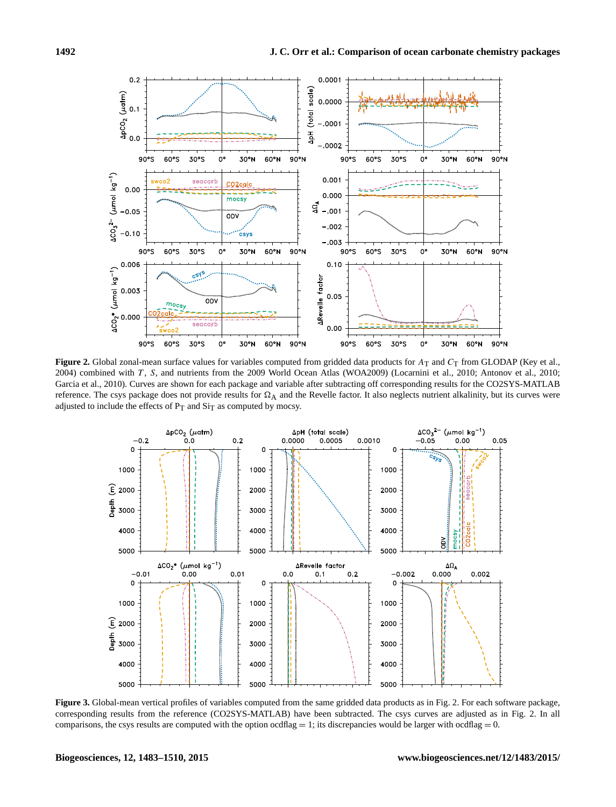<span id="page-9-0"></span>

Figure 2. Global zonal-mean surface values for variables computed from gridded data products for A<sub>T</sub> and C<sub>T</sub> from GLODAP [\(Key et al.,](#page-26-23) [2004\)](#page-26-23) combined with T , S, and nutrients from the 2009 World Ocean Atlas (WOA2009) [\(Locarnini et al.,](#page-26-24) [2010;](#page-26-24) [Antonov et al.,](#page-26-25) [2010;](#page-26-25) [Garcia et al.,](#page-26-26) [2010\)](#page-26-26). Curves are shown for each package and variable after subtracting off corresponding results for the CO2SYS-MATLAB reference. The csys package does not provide results for  $\Omega_A$  and the Revelle factor. It also neglects nutrient alkalinity, but its curves were adjusted to include the effects of  $P_T$  and  $Si_T$  as computed by mocsy.

<span id="page-9-1"></span>

**Figure 3.** Global-mean vertical profiles of variables computed from the same gridded data products as in Fig. [2.](#page-9-0) For each software package, corresponding results from the reference (CO2SYS-MATLAB) have been subtracted. The csys curves are adjusted as in Fig. [2.](#page-9-0) In all comparisons, the csys results are computed with the option ocdflag  $= 1$ ; its discrepancies would be larger with ocdflag  $= 0$ .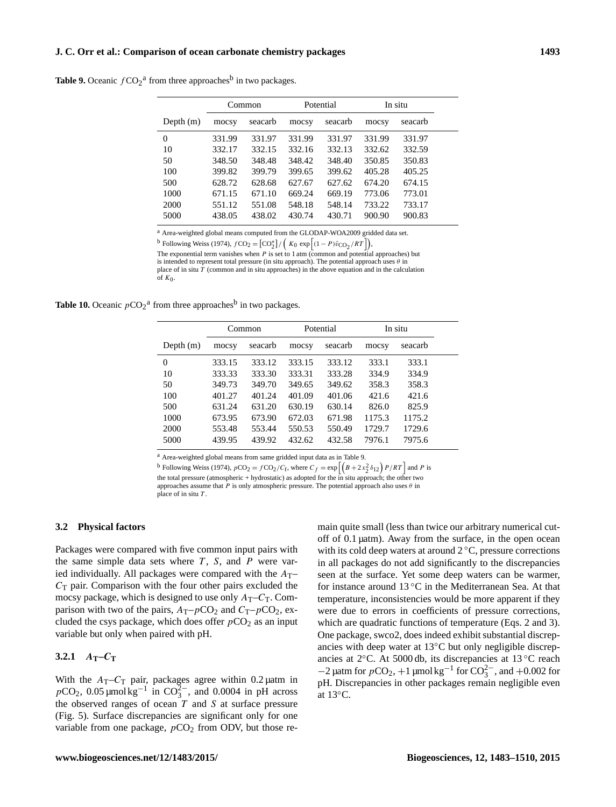#### **J. C. Orr et al.: Comparison of ocean carbonate chemistry packages 1493**

<span id="page-10-0"></span>

| <b>Table 9.</b> Oceanic $fCO_2^a$ from three approaches <sup>b</sup> in two packages. |  |  |  |  |  |
|---------------------------------------------------------------------------------------|--|--|--|--|--|
|---------------------------------------------------------------------------------------|--|--|--|--|--|

|             |        | Common  |        | Potential | In situ |         |  |
|-------------|--------|---------|--------|-----------|---------|---------|--|
| Depth $(m)$ | mocsy  | seacarb | mocsy  | seacarb   | mocsy   | seacarb |  |
| $\Omega$    | 331.99 | 331.97  | 331.99 | 331.97    | 331.99  | 331.97  |  |
| 10          | 332.17 | 332.15  | 332.16 | 332.13    | 332.62  | 332.59  |  |
| 50          | 348.50 | 348.48  | 348.42 | 348.40    | 350.85  | 350.83  |  |
| 100         | 399.82 | 399.79  | 399.65 | 399.62    | 405.28  | 405.25  |  |
| 500         | 628.72 | 628.68  | 627.67 | 627.62    | 674.20  | 674.15  |  |
| 1000        | 671.15 | 671.10  | 669.24 | 669.19    | 773.06  | 773.01  |  |
| 2000        | 551.12 | 551.08  | 548.18 | 548.14    | 733.22  | 733.17  |  |
| 5000        | 438.05 | 438.02  | 430.74 | 430.71    | 900.90  | 900.83  |  |
|             |        |         |        |           |         |         |  |

<sup>a</sup> Area-weighted global means computed from the GLODAP-WOA2009 gridded data set.

<sup>b</sup> Following [Weiss](#page-27-20) [\(1974\)](#page-27-20),  $fCO_2 = [CO_2^*]/(K_0 \exp[(1 - P)\bar{v}_{CO_2}/RT])$ ,

The exponential term vanishes when  $P$  is set to 1 atm (common and potential approaches) but is intended to represent total pressure (in situ approach). The potential approach uses  $\theta$  in place of in situ  $T$  (common and in situ approaches) in the above equation and in the calculation of  $K_0$ .

<span id="page-10-1"></span>**Table 10.** Oceanic  $pCO_2^a$  from three approaches<sup>b</sup> in two packages.

|             |        | Common  |        | Potential | In situ |         |  |
|-------------|--------|---------|--------|-----------|---------|---------|--|
| Depth $(m)$ | mocsy  | seacarb | mocsy  | seacarb   | mocsy   | seacarb |  |
| 0           | 333.15 | 333.12  | 333.15 | 333.12    | 333.1   | 333.1   |  |
| 10          | 333.33 | 333.30  | 333.31 | 333.28    | 334.9   | 334.9   |  |
| 50          | 349.73 | 349.70  | 349.65 | 349.62    | 358.3   | 358.3   |  |
| 100         | 401.27 | 401.24  | 401.09 | 401.06    | 421.6   | 421.6   |  |
| 500         | 631.24 | 631.20  | 630.19 | 630.14    | 826.0   | 825.9   |  |
| 1000        | 673.95 | 673.90  | 672.03 | 671.98    | 1175.3  | 1175.2  |  |
| 2000        | 553.48 | 553.44  | 550.53 | 550.49    | 1729.7  | 1729.6  |  |
| 5000        | 439.95 | 439.92  | 432.62 | 432.58    | 7976.1  | 7975.6  |  |

<sup>a</sup> Area-weighted global means from same gridded input data as in Table [9.](#page-10-0)

<sup>b</sup> Following [Weiss](#page-27-20) [\(1974\)](#page-27-20),  $pCO_2 = fCO_2/C_f$ , where  $C_f = \exp\left[\left(B + 2x_2^2 \delta_{12}\right)P/RT\right]$  and P is

the total pressure (atmospheric + hydrostatic) as adopted for the in situ approach; the other two approaches assume that P is only atmospheric pressure. The potential approach also uses  $\theta$  in place of in situ T.

#### <span id="page-10-2"></span>**3.2 Physical factors**

Packages were compared with five common input pairs with the same simple data sets where  $T$ ,  $S$ , and  $P$  were varied individually. All packages were compared with the  $A_T$ –  $C_T$  pair. Comparison with the four other pairs excluded the mocsy package, which is designed to use only  $A_T - C_T$ . Comparison with two of the pairs,  $A_T-pCO_2$  and  $C_T-pCO_2$ , excluded the csys package, which does offer  $pCO<sub>2</sub>$  as an input variable but only when paired with pH.

<span id="page-10-3"></span>**3.2.1**  $A_T - C_T$ 

With the  $A_T - C_T$  pair, packages agree within 0.2 µatm in  $pCO_2$ , 0.05 µmol kg<sup>-1</sup> in  $CO_3^{2-}$ , and 0.0004 in pH across the observed ranges of ocean  $T$  and  $S$  at surface pressure (Fig. [5\)](#page-12-0). Surface discrepancies are significant only for one variable from one package,  $pCO<sub>2</sub>$  from ODV, but those remain quite small (less than twice our arbitrary numerical cutoff of 0.1 µatm). Away from the surface, in the open ocean with its cold deep waters at around  $2^{\circ}$ C, pressure corrections in all packages do not add significantly to the discrepancies seen at the surface. Yet some deep waters can be warmer, for instance around 13 ◦C in the Mediterranean Sea. At that temperature, inconsistencies would be more apparent if they were due to errors in coefficients of pressure corrections, which are quadratic functions of temperature (Eqs. [2](#page-7-0) and [3\)](#page-7-1). One package, swco2, does indeed exhibit substantial discrepancies with deep water at 13◦C but only negligible discrepancies at 2◦C. At 5000 db, its discrepancies at 13 ◦C reach  $-2$  µatm for  $pCO_2$ ,  $+1$  µmol kg<sup>-1</sup> for  $CO_3^{2-}$ , and  $+0.002$  for pH. Discrepancies in other packages remain negligible even at  $13^{\circ}$ C.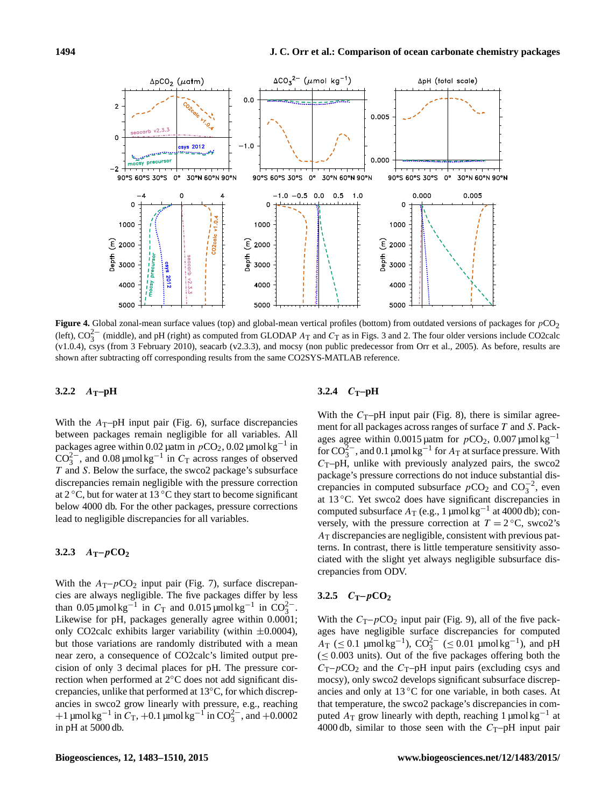<span id="page-11-0"></span>

Figure 4. Global zonal-mean surface values (top) and global-mean vertical profiles (bottom) from outdated versions of packages for  $pCO<sub>2</sub>$ (left),  $CO_3^{2-}$  $CO_3^{2-}$  $CO_3^{2-}$  (middle), and pH (right) as computed from GLODAP  $A_T$  and  $C_T$  as in Figs. 3 and [2.](#page-9-0) The four older versions include CO2calc (v1.0.4), csys (from 3 February 2010), seacarb (v2.3.3), and mocsy (non public predecessor from [Orr et al.,](#page-27-12) [2005\)](#page-27-12). As before, results are shown after subtracting off corresponding results from the same CO2SYS-MATLAB reference.

# **3.2.2** A**T–pH**

With the  $A_T$ –pH input pair (Fig. [6\)](#page-12-1), surface discrepancies between packages remain negligible for all variables. All packages agree within 0.02 µatm in  $pCO_2$ , 0.02 µmol kg<sup>-1</sup> in  $CO_3^{2-}$ , and 0.08 µmol kg<sup>-1</sup> in  $C_T$  across ranges of observed T and S. Below the surface, the swco2 package's subsurface discrepancies remain negligible with the pressure correction at  $2^{\circ}$ C, but for water at 13  $^{\circ}$ C they start to become significant below 4000 db. For the other packages, pressure corrections lead to negligible discrepancies for all variables.

# **3.2.3** A**T–**p**CO<sup>2</sup>**

With the  $A_T-pCO_2$  input pair (Fig. [7\)](#page-13-0), surface discrepancies are always negligible. The five packages differ by less than 0.05 µmol kg<sup>-1</sup> in  $C_T$  and 0.015 µmol kg<sup>-1</sup> in  $CO_3^{2-}$ . Likewise for pH, packages generally agree within 0.0001; only CO2calc exhibits larger variability (within  $\pm 0.0004$ ), but those variations are randomly distributed with a mean near zero, a consequence of CO2calc's limited output precision of only 3 decimal places for pH. The pressure correction when performed at 2◦C does not add significant discrepancies, unlike that performed at 13◦C, for which discrepancies in swco2 grow linearly with pressure, e.g., reaching +1  $\mu$ mol kg<sup>-1</sup> in  $C_T$ , +0.1  $\mu$ mol kg<sup>-1</sup> in CO<sub>3</sub><sup>-</sup>, and +0.0002 in pH at 5000 db.

# 3.2.4  $C_T$ -pH

With the  $C_T$ –pH input pair (Fig. [8\)](#page-13-1), there is similar agreement for all packages across ranges of surface T and S. Packages agree within 0.0015 µatm for  $pCO_2$ , 0.007 µmol kg<sup>-1</sup> for  $CO_3^{2-}$ , and 0.1 µmol kg<sup>-1</sup> for  $A_T$  at surface pressure. With  $C_T$ –pH, unlike with previously analyzed pairs, the swco2 package's pressure corrections do not induce substantial discrepancies in computed subsurface  $pCO_2$  and  $CO_3^{-2}$ , even at 13 ◦C. Yet swco2 does have significant discrepancies in computed subsurface  $A_T$  (e.g., 1 µmol kg<sup>-1</sup> at 4000 db); conversely, with the pressure correction at  $T = 2^{\circ}C$ , swco2's  $A<sub>T</sub>$  discrepancies are negligible, consistent with previous patterns. In contrast, there is little temperature sensitivity associated with the slight yet always negligible subsurface discrepancies from ODV.

## **3.2.5** C**T–**p**CO<sup>2</sup>**

With the  $C_T-pCO_2$  input pair (Fig. [9\)](#page-15-0), all of the five packages have negligible surface discrepancies for computed  $A_T$  (≤ 0.1 µmol kg<sup>-1</sup>),  $CO_3^{2-}$  (≤ 0.01 µmol kg<sup>-1</sup>), and pH  $(< 0.003$  units). Out of the five packages offering both the  $C_T-pCO_2$  and the  $C_T-pH$  input pairs (excluding csys and mocsy), only swco2 develops significant subsurface discrepancies and only at 13 ◦C for one variable, in both cases. At that temperature, the swco2 package's discrepancies in computed  $A_T$  grow linearly with depth, reaching 1 µmol kg<sup>-1</sup> at 4000 db, similar to those seen with the  $C_T$ -pH input pair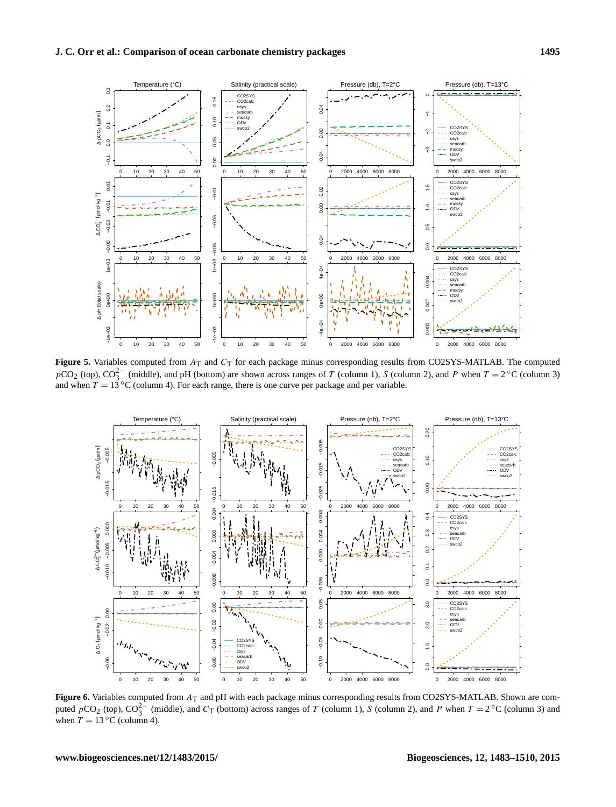<span id="page-12-0"></span>

**Figure 5.** Variables computed from  $A_T$  and  $C_T$  for each package minus corresponding results from CO2SYS-MATLAB. The computed  $pCO_2$  (top),  $CO_3^{2-}$  (middle), and pH (bottom) are shown across ranges of T (column 1), S (column 2), and P when  $T = 2^{\circ}C$  (column 3) and when  $T = 13^{\circ}$ C (column 4). For each range, there is one curve per package and per variable.

<span id="page-12-1"></span>

**Figure 6.** Variables computed from  $A_T$  and pH with each package minus corresponding results from CO2SYS-MATLAB. Shown are computed  $pCO_2$  (top),  $CO_3^{2-}$  (middle), and  $C_T$  (bottom) across ranges of T (column 1), S (column 2), and P when  $T = 2^{\circ}C$  (column 3) and when  $T = 13 \degree C$  (column 4).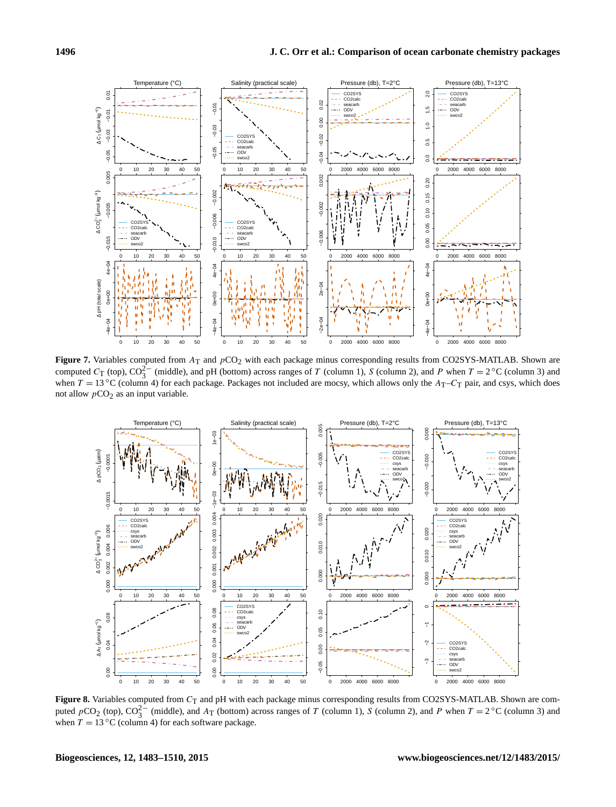<span id="page-13-0"></span>

**Figure 7.** Variables computed from A<sub>T</sub> and pCO<sub>2</sub> with each package minus corresponding results from CO2SYS-MATLAB. Shown are computed  $C_T$  (top),  $CO_3^{2-}$  (middle), and pH (bottom) across ranges of T (column 1), S (column 2), and P when  $T = 2^{\circ}C$  (column 3) and when  $T = 13 \text{ °C}$  (column 4) for each package. Packages not included are mocsy, which allows only the  $A_T - C_T$  pair, and csys, which does not allow  $pCO<sub>2</sub>$  as an input variable.

<span id="page-13-1"></span>

Figure 8. Variables computed from  $C_T$  and pH with each package minus corresponding results from CO2SYS-MATLAB. Shown are computed  $pCO_2$  (top),  $CO_3^{2-}$  (middle), and  $A_T$  (bottom) across ranges of T (column 1), S (column 2), and P when  $T = 2^{\circ}C$  (column 3) and when  $T = 13 \degree C$  (column 4) for each software package.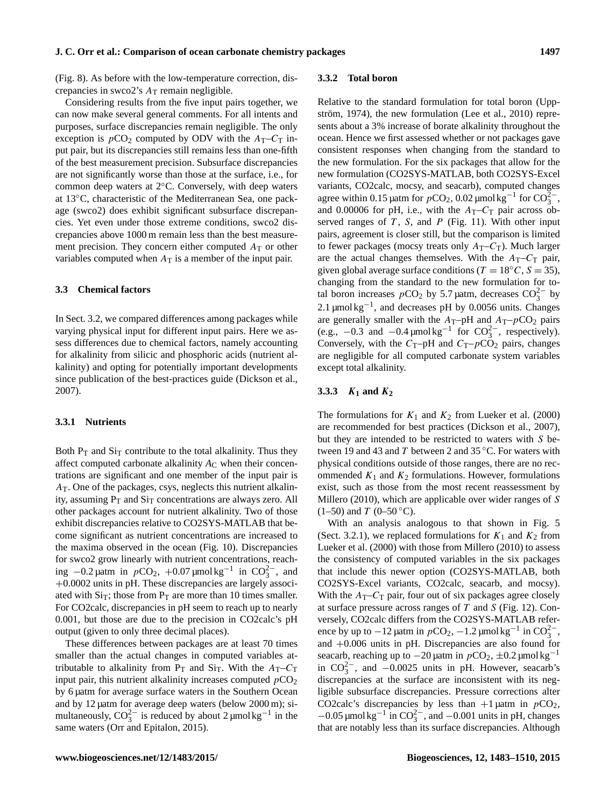(Fig. [8\)](#page-13-1). As before with the low-temperature correction, discrepancies in swco2's  $A_T$  remain negligible.

Considering results from the five input pairs together, we can now make several general comments. For all intents and purposes, surface discrepancies remain negligible. The only exception is  $pCO_2$  computed by ODV with the  $A_T-C_T$  input pair, but its discrepancies still remains less than one-fifth of the best measurement precision. Subsurface discrepancies are not significantly worse than those at the surface, i.e., for common deep waters at 2◦C. Conversely, with deep waters at 13◦C, characteristic of the Mediterranean Sea, one package (swco2) does exhibit significant subsurface discrepancies. Yet even under those extreme conditions, swco2 discrepancies above 1000 m remain less than the best measurement precision. They concern either computed  $A_T$  or other variables computed when  $A_T$  is a member of the input pair.

#### **3.3 Chemical factors**

In Sect. [3.2,](#page-10-2) we compared differences among packages while varying physical input for different input pairs. Here we assess differences due to chemical factors, namely accounting for alkalinity from silicic and phosphoric acids (nutrient alkalinity) and opting for potentially important developments since publication of the best-practices guide [\(Dickson et al.,](#page-26-4) [2007\)](#page-26-4).

#### **3.3.1 Nutrients**

Both  $P_T$  and  $Si_T$  contribute to the total alkalinity. Thus they affect computed carbonate alkalinity  $A<sub>C</sub>$  when their concentrations are significant and one member of the input pair is  $A<sub>T</sub>$ . One of the packages, csys, neglects this nutrient alkalinity, assuming  $P_T$  and  $Si_T$  concentrations are always zero. All other packages account for nutrient alkalinity. Two of those exhibit discrepancies relative to CO2SYS-MATLAB that become significant as nutrient concentrations are increased to the maxima observed in the ocean (Fig. [10\)](#page-16-0). Discrepancies for swco2 grow linearly with nutrient concentrations, reaching  $-0.2 \mu$ atm in  $p$ CO<sub>2</sub>,  $+0.07 \mu$ mol kg<sup>-1</sup> in CO<sub>3</sub><sup>2</sup>, and +0.0002 units in pH. These discrepancies are largely associated with  $\text{Si}_{\text{T}}$ ; those from P<sub>T</sub> are more than 10 times smaller. For CO2calc, discrepancies in pH seem to reach up to nearly 0.001, but those are due to the precision in CO2calc's pH output (given to only three decimal places).

These differences between packages are at least 70 times smaller than the actual changes in computed variables attributable to alkalinity from  $P_T$  and  $Si_T$ . With the  $A_T - C_T$ input pair, this nutrient alkalinity increases computed  $pCO<sub>2</sub>$ by 6 µatm for average surface waters in the Southern Ocean and by 12 µatm for average deep waters (below 2000 m); simultaneously,  $CO_3^{2-}$  is reduced by about 2 µmol kg<sup>-1</sup> in the same waters [\(Orr and Epitalon,](#page-27-13) [2015\)](#page-27-13).

#### **3.3.2 Total boron**

Relative to the standard formulation for total boron [\(Upp](#page-27-28)[ström,](#page-27-28) [1974\)](#page-27-28), the new formulation [\(Lee et al.,](#page-26-27) [2010\)](#page-26-27) represents about a 3% increase of borate alkalinity throughout the ocean. Hence we first assessed whether or not packages gave consistent responses when changing from the standard to the new formulation. For the six packages that allow for the new formulation (CO2SYS-MATLAB, both CO2SYS-Excel variants, CO2calc, mocsy, and seacarb), computed changes agree within 0.15 µatm for  $pCO_2$ , 0.02 µmol kg<sup>-1</sup> for  $CO_3^{2-}$ , and 0.00006 for pH, i.e., with the  $A_T-C_T$  pair across observed ranges of  $T$ ,  $S$ , and  $P$  (Fig. [11\)](#page-17-0). With other input pairs, agreement is closer still, but the comparison is limited to fewer packages (mocsy treats only  $A_T - C_T$ ). Much larger are the actual changes themselves. With the  $A_T-C_T$  pair, given global average surface conditions ( $T = 18\degree C$ ,  $S = 35$ ), changing from the standard to the new formulation for total boron increases  $pCO_2$  by 5.7 µatm, decreases  $CO_3^{2-}$  by 2.1 µmol kg<sup>-1</sup>, and decreases pH by 0.0056 units. Changes are generally smaller with the  $A_T$ –pH and  $A_T$ –pCO<sub>2</sub> pairs (e.g.,  $-0.3$  and  $-0.4 \mu$ molkg<sup>-1</sup> for CO<sub>3</sub><sup>2</sup>, respectively). Conversely, with the  $C_T$ –pH and  $C_T$ – $pCO_2$  pairs, changes are negligible for all computed carbonate system variables except total alkalinity.

# <span id="page-14-0"></span>**3.3.3** K**<sup>1</sup> and** K**<sup>2</sup>**

The formulations for  $K_1$  and  $K_2$  from [Lueker et al.](#page-26-10) [\(2000\)](#page-26-10) are recommended for best practices [\(Dickson et al.,](#page-26-4) [2007\)](#page-26-4), but they are intended to be restricted to waters with S between 19 and 43 and T between 2 and 35 °C. For waters with physical conditions outside of those ranges, there are no recommended  $K_1$  and  $K_2$  formulations. However, formulations exist, such as those from the most recent reassessment by [Millero](#page-27-19) [\(2010\)](#page-27-19), which are applicable over wider ranges of S  $(1-50)$  and T  $(0-50 °C)$ .

With an analysis analogous to that shown in Fig. [5](#page-12-0) (Sect. [3.2.1\)](#page-10-3), we replaced formulations for  $K_1$  and  $K_2$  from [Lueker et al.](#page-26-10) [\(2000\)](#page-26-10) with those from [Millero](#page-27-19) [\(2010\)](#page-27-19) to assess the consistency of computed variables in the six packages that include this newer option (CO2SYS-MATLAB, both CO2SYS-Excel variants, CO2calc, seacarb, and mocsy). With the  $A_T-C_T$  pair, four out of six packages agree closely at surface pressure across ranges of  $T$  and  $S$  (Fig. [12\)](#page-18-0). Conversely, CO2calc differs from the CO2SYS-MATLAB reference by up to  $-12 \mu$ atm in  $pCO_2$ ,  $-1.2 \mu$ mol kg<sup>-1</sup> in CO<sub>3</sub><sup>-</sup>, and +0.006 units in pH. Discrepancies are also found for seacarb, reaching up to  $-20$  µatm in  $pCO_2$ ,  $\pm 0.2$  µmol kg<sup>-1</sup> in  $CO_3^{2-}$ , and  $-0.0025$  units in pH. However, seacarb's discrepancies at the surface are inconsistent with its negligible subsurface discrepancies. Pressure corrections alter CO2calc's discrepancies by less than  $+1$  µatm in  $pCO<sub>2</sub>$ ,  $-0.05$  µmol kg<sup>-1</sup> in CO<sub>3</sub><sup>2</sup>, and  $-0.001$  units in pH, changes that are notably less than its surface discrepancies. Although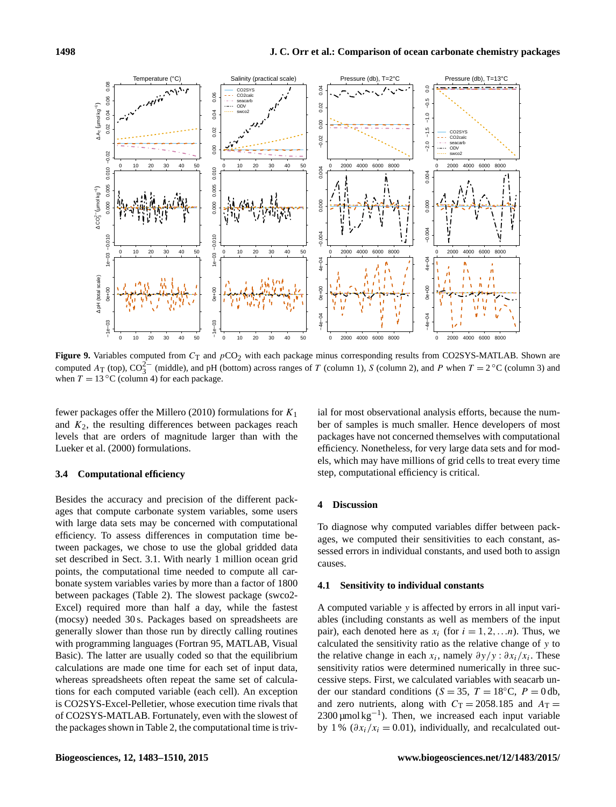<span id="page-15-0"></span>

**Figure 9.** Variables computed from  $C_T$  and  $pCO_2$  with each package minus corresponding results from CO2SYS-MATLAB. Shown are computed  $A_T$  (top),  $CO_3^{2-}$  (middle), and pH (bottom) across ranges of T (column 1), S (column 2), and P when  $T = 2^{\circ}C$  (column 3) and when  $T = 13 \degree C$  (column 4) for each package.

fewer packages offer the [Millero](#page-27-19) [\(2010\)](#page-27-19) formulations for  $K_1$ and  $K_2$ , the resulting differences between packages reach levels that are orders of magnitude larger than with the [Lueker et al.](#page-26-10) [\(2000\)](#page-26-10) formulations.

## **3.4 Computational efficiency**

Besides the accuracy and precision of the different packages that compute carbonate system variables, some users with large data sets may be concerned with computational efficiency. To assess differences in computation time between packages, we chose to use the global gridded data set described in Sect. [3.1.](#page-7-2) With nearly 1 million ocean grid points, the computational time needed to compute all carbonate system variables varies by more than a factor of 1800 between packages (Table [2\)](#page-2-1). The slowest package (swco2- Excel) required more than half a day, while the fastest (mocsy) needed 30 s. Packages based on spreadsheets are generally slower than those run by directly calling routines with programming languages (Fortran 95, MATLAB, Visual Basic). The latter are usually coded so that the equilibrium calculations are made one time for each set of input data, whereas spreadsheets often repeat the same set of calculations for each computed variable (each cell). An exception is CO2SYS-Excel-Pelletier, whose execution time rivals that of CO2SYS-MATLAB. Fortunately, even with the slowest of the packages shown in Table [2,](#page-2-1) the computational time is trivial for most observational analysis efforts, because the number of samples is much smaller. Hence developers of most packages have not concerned themselves with computational efficiency. Nonetheless, for very large data sets and for models, which may have millions of grid cells to treat every time step, computational efficiency is critical.

# **4 Discussion**

To diagnose why computed variables differ between packages, we computed their sensitivities to each constant, assessed errors in individual constants, and used both to assign causes.

### <span id="page-15-1"></span>**4.1 Sensitivity to individual constants**

A computed variable y is affected by errors in all input variables (including constants as well as members of the input pair), each denoted here as  $x_i$  (for  $i = 1, 2, \ldots n$ ). Thus, we calculated the sensitivity ratio as the relative change of y to the relative change in each  $x_i$ , namely  $\partial y / y : \partial x_i / x_i$ . These sensitivity ratios were determined numerically in three successive steps. First, we calculated variables with seacarb under our standard conditions ( $S = 35$ ,  $T = 18$ °C,  $P = 0$  db, and zero nutrients, along with  $C_T = 2058.185$  and  $A_T =$ 2300 µmol kg<sup>-1</sup>). Then, we increased each input variable by 1 % ( $\partial x_i/x_i = 0.01$ ), individually, and recalculated out-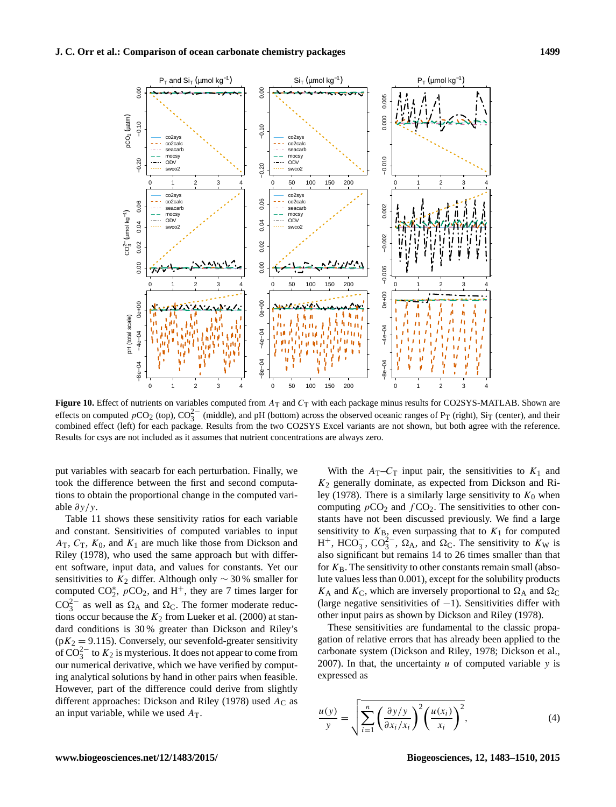<span id="page-16-0"></span>

**Figure 10.** Effect of nutrients on variables computed from  $A_T$  and  $C_T$  with each package minus results for CO2SYS-MATLAB. Shown are effects on computed  $pCO_2$  (top),  $CO_3^{2-}$  (middle), and pH (bottom) across the observed oceanic ranges of P<sub>T</sub> (right), Si<sub>T</sub> (center), and their combined effect (left) for each package. Results from the two CO2SYS Excel variants are not shown, but both agree with the reference. Results for csys are not included as it assumes that nutrient concentrations are always zero.

put variables with seacarb for each perturbation. Finally, we took the difference between the first and second computations to obtain the proportional change in the computed variable  $\partial y/y$ .

Table [11](#page-17-1) shows these sensitivity ratios for each variable and constant. Sensitivities of computed variables to input  $A_T$ ,  $C_T$ ,  $K_0$ , and  $K_1$  are much like those from [Dickson and](#page-26-30) [Riley](#page-26-30) [\(1978\)](#page-26-30), who used the same approach but with different software, input data, and values for constants. Yet our sensitivities to  $K_2$  differ. Although only  $\sim$  30% smaller for computed  $CO_2^*$ ,  $pCO_2$ , and H<sup>+</sup>, they are 7 times larger for  $CO_3^{2-}$  as well as  $\Omega_A$  and  $\Omega_C$ . The former moderate reductions occur because the  $K_2$  from [Lueker et al.](#page-26-10) [\(2000\)](#page-26-10) at standard conditions is 30 % greater than [Dickson and Riley'](#page-26-30)s  $(pK_2 = 9.115)$ . Conversely, our sevenfold-greater sensitivity of  $CO_3^{2-}$  to  $K_2$  is mysterious. It does not appear to come from our numerical derivative, which we have verified by computing analytical solutions by hand in other pairs when feasible. However, part of the difference could derive from slightly different approaches: [Dickson and Riley](#page-26-30) [\(1978\)](#page-26-30) used  $A_C$  as an input variable, while we used  $A_T$ .

With the  $A_T-C_T$  input pair, the sensitivities to  $K_1$  and  $K_2$  generally dominate, as expected from [Dickson and Ri](#page-26-30)[ley](#page-26-30) [\(1978\)](#page-26-30). There is a similarly large sensitivity to  $K_0$  when computing  $pCO_2$  and  $fCO_2$ . The sensitivities to other constants have not been discussed previously. We find a large sensitivity to  $K_{\rm B}$ , even surpassing that to  $K_1$  for computed H<sup>+</sup>, HCO<sub>3</sub>, CO<sub>3</sub><sup>2</sup>-,  $\Omega_A$ , and  $\Omega_C$ . The sensitivity to  $K_W$  is also significant but remains 14 to 26 times smaller than that for  $K_B$ . The sensitivity to other constants remain small (absolute values less than 0.001), except for the solubility products  $K_A$  and  $K_C$ , which are inversely proportional to  $\Omega_A$  and  $\Omega_C$ (large negative sensitivities of  $-1$ ). Sensitivities differ with other input pairs as shown by [Dickson and Riley](#page-26-30) [\(1978\)](#page-26-30).

These sensitivities are fundamental to the classic propagation of relative errors that has already been applied to the carbonate system [\(Dickson and Riley,](#page-26-30) [1978;](#page-26-30) [Dickson et al.,](#page-26-4) [2007\)](#page-26-4). In that, the uncertainty  $u$  of computed variable  $y$  is expressed as

$$
\frac{u(y)}{y} = \sqrt{\sum_{i=1}^{n} \left(\frac{\partial y/y}{\partial x_i/x_i}\right)^2 \left(\frac{u(x_i)}{x_i}\right)^2},
$$
(4)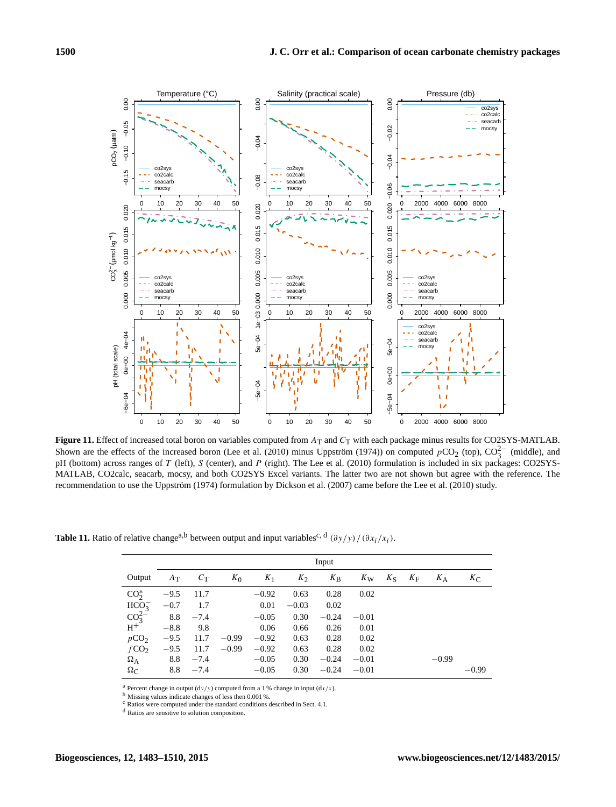<span id="page-17-0"></span>

**Figure 11.** Effect of increased total boron on variables computed from  $A_T$  and  $C_T$  with each package minus results for CO2SYS-MATLAB. Shown are the effects of the increased boron [\(Lee et al.](#page-26-27) [\(2010\)](#page-26-27) minus [Uppström](#page-27-28) [\(1974\)](#page-27-28)) on computed  $pCO_2$  (top),  $CO_3^{2-}$  (middle), and pH (bottom) across ranges of T (left), S (center), and P (right). The [Lee et al.](#page-26-27) [\(2010\)](#page-26-27) formulation is included in six packages: CO2SYS-MATLAB, CO2calc, seacarb, mocsy, and both CO2SYS Excel variants. The latter two are not shown but agree with the reference. The recommendation to use the [Uppström](#page-27-28) [\(1974\)](#page-27-28) formulation by [Dickson et al.](#page-26-4) [\(2007\)](#page-26-4) came before the [Lee et al.](#page-26-27) [\(2010\)](#page-26-27) study.

<span id="page-17-1"></span>**Table 11.** Ratio of relative change<sup>a,b</sup> between output and input variables<sup>c, d</sup>  $(\partial y/y) / (\partial x_i/x_i)$ .

|                                          | Input  |             |         |         |         |             |             |             |             |         |             |  |  |
|------------------------------------------|--------|-------------|---------|---------|---------|-------------|-------------|-------------|-------------|---------|-------------|--|--|
| Output                                   | $A_T$  | $C_{\rm T}$ | $K_0$   | $K_1$   | $K_2$   | $K_{\rm B}$ | $K_{\rm W}$ | $K_{\rm S}$ | $K_{\rm F}$ | $K_A$   | $K_{\rm C}$ |  |  |
| $CO2*$                                   | $-9.5$ | 11.7        |         | $-0.92$ | 0.63    | 0.28        | 0.02        |             |             |         |             |  |  |
| $HCO_3^-$                                | $-0.7$ | 1.7         |         | 0.01    | $-0.03$ | 0.02        |             |             |             |         |             |  |  |
| $\frac{{\rm CO}_{3}^{2-z}}{{\rm H}^{+}}$ |        | $8.8 - 7.4$ |         | $-0.05$ | 0.30    | $-0.24$     | $-0.01$     |             |             |         |             |  |  |
|                                          | $-8.8$ | 9.8         |         | 0.06    | 0.66    | 0.26        | 0.01        |             |             |         |             |  |  |
| pCO <sub>2</sub>                         | $-9.5$ | 11.7        | $-0.99$ | $-0.92$ | 0.63    | 0.28        | 0.02        |             |             |         |             |  |  |
| fCO <sub>2</sub>                         | $-9.5$ | 11.7        | $-0.99$ | $-0.92$ | 0.63    | 0.28        | 0.02        |             |             |         |             |  |  |
| $\Omega_{\rm A}$                         | 8.8    | $-7.4$      |         | $-0.05$ | 0.30    | $-0.24$     | $-0.01$     |             |             | $-0.99$ |             |  |  |
| $\Omega_{\rm C}$                         | 8.8    | $-7.4$      |         | $-0.05$ | 0.30    | $-0.24$     | $-0.01$     |             |             |         | $-0.99$     |  |  |

<sup>a</sup> Percent change in output  $(dy/y)$  computed from a 1 % change in input  $(dx/x)$ .

<sup>b</sup> Missing values indicate changes of less then 0.001 %.

<sup>c</sup> Ratios were computed under the standard conditions described in Sect. [4.1.](#page-15-1)

<sup>d</sup> Ratios are sensitive to solution composition.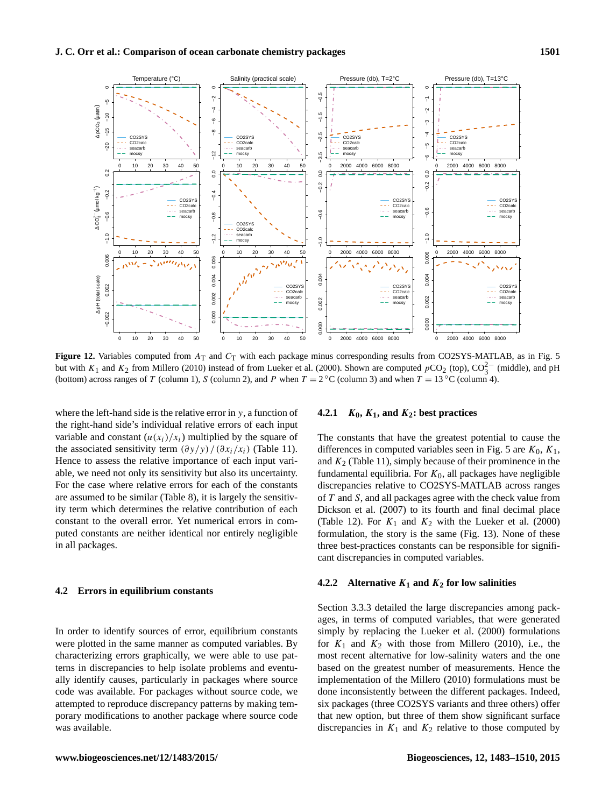<span id="page-18-0"></span>

**Figure 12.** Variables computed from  $A_T$  and  $C_T$  with each package minus corresponding results from CO2SYS-MATLAB, as in Fig. [5](#page-12-0) but with K<sub>1</sub> and K<sub>2</sub> from [Millero](#page-27-19) [\(2010\)](#page-27-19) instead of from [Lueker et al.](#page-26-10) [\(2000\)](#page-26-10). Shown are computed pCO<sub>2</sub> (top), CO<sub>3</sub><sup>−</sup> (middle), and pH (bottom) across ranges of T (column 1), S (column 2), and P when  $T = 2 °C$  (column 3) and when  $T = 13 °C$  (column 4).

where the left-hand side is the relative error in  $y$ , a function of the right-hand side's individual relative errors of each input variable and constant  $(u(x_i)/x_i)$  multiplied by the square of the associated sensitivity term  $(\partial y/y) / (\partial x_i/x_i)$  (Table [11\)](#page-17-1). Hence to assess the relative importance of each input variable, we need not only its sensitivity but also its uncertainty. For the case where relative errors for each of the constants are assumed to be similar (Table [8\)](#page-8-1), it is largely the sensitivity term which determines the relative contribution of each constant to the overall error. Yet numerical errors in computed constants are neither identical nor entirely negligible in all packages.

## **4.2 Errors in equilibrium constants**

In order to identify sources of error, equilibrium constants were plotted in the same manner as computed variables. By characterizing errors graphically, we were able to use patterns in discrepancies to help isolate problems and eventually identify causes, particularly in packages where source code was available. For packages without source code, we attempted to reproduce discrepancy patterns by making temporary modifications to another package where source code was available.

# **4.2.1**  $K_0$ ,  $K_1$ , and  $K_2$ : best practices

The constants that have the greatest potential to cause the differences in computed variables seen in Fig. [5](#page-12-0) are  $K_0$ ,  $K_1$ , and  $K_2$  (Table [11\)](#page-17-1), simply because of their prominence in the fundamental equilibria. For  $K_0$ , all packages have negligible discrepancies relative to CO2SYS-MATLAB across ranges of T and S, and all packages agree with the check value from [Dickson et al.](#page-26-4) [\(2007\)](#page-26-4) to its fourth and final decimal place (Table [12\)](#page-19-0). For  $K_1$  and  $K_2$  with the [Lueker et al.](#page-26-10) [\(2000\)](#page-26-10) formulation, the story is the same (Fig. [13\)](#page-20-0). None of these three best-practices constants can be responsible for significant discrepancies in computed variables.

# **4.2.2** Alternative  $K_1$  and  $K_2$  for low salinities

Section [3.3.3](#page-14-0) detailed the large discrepancies among packages, in terms of computed variables, that were generated simply by replacing the [Lueker et al.](#page-26-10) [\(2000\)](#page-26-10) formulations for  $K_1$  and  $K_2$  with those from [Millero](#page-27-19) [\(2010\)](#page-27-19), i.e., the most recent alternative for low-salinity waters and the one based on the greatest number of measurements. Hence the implementation of the [Millero](#page-27-19) [\(2010\)](#page-27-19) formulations must be done inconsistently between the different packages. Indeed, six packages (three CO2SYS variants and three others) offer that new option, but three of them show significant surface discrepancies in  $K_1$  and  $K_2$  relative to those computed by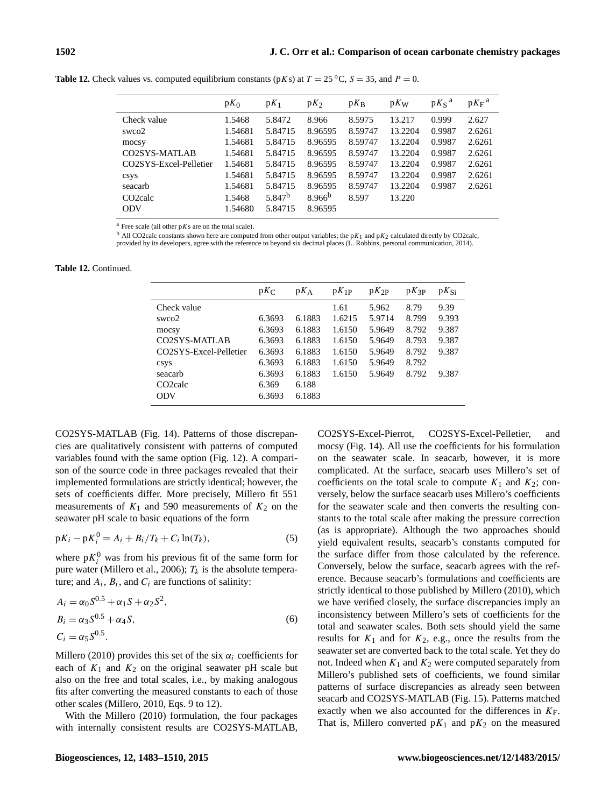|                        | $pK_0$  | $pK_1$             | $pK_2$      | $pK_B$  | $pK_W$  | $pK_S^a$ | $pK_F^a$ |
|------------------------|---------|--------------------|-------------|---------|---------|----------|----------|
| Check value            | 1.5468  | 5.8472             | 8.966       | 8.5975  | 13.217  | 0.999    | 2.627    |
| swco2                  | 1.54681 | 5.84715            | 8.96595     | 8.59747 | 13.2204 | 0.9987   | 2.6261   |
| mocsy                  | 1.54681 | 5.84715            | 8.96595     | 8.59747 | 13.2204 | 0.9987   | 2.6261   |
| CO2SYS-MATLAB          | 1.54681 | 5.84715            | 8.96595     | 8.59747 | 13.2204 | 0.9987   | 2.6261   |
| CO2SYS-Excel-Pelletier | 1.54681 | 5.84715            | 8.96595     | 8.59747 | 13.2204 | 0.9987   | 2.6261   |
| csys                   | 1.54681 | 5.84715            | 8.96595     | 8.59747 | 13.2204 | 0.9987   | 2.6261   |
| seacarb                | 1.54681 | 5.84715            | 8.96595     | 8.59747 | 13.2204 | 0.9987   | 2.6261   |
| CO <sub>2calc</sub>    | 1.5468  | 5.847 <sup>b</sup> | $8.966^{b}$ | 8.597   | 13.220  |          |          |
| <b>ODV</b>             | 1.54680 | 5.84715            | 8.96595     |         |         |          |          |

<span id="page-19-0"></span>**Table 12.** Check values vs. computed equilibrium constants ( $pKs$ ) at  $T = 25 °C$ ,  $S = 35$ , and  $P = 0$ .

 $a$  Free scale (all other  $pKs$  are on the total scale).

<sup>b</sup> All CO2calc constants shown here are computed from other output variables; the p $K_1$  and p $K_2$  calculated directly by CO2calc, provided by its developers, agree with the reference to beyond six decimal places (L. Robbins, personal communication, 2014).

**Table 12.** Continued.

|                        | $pK_C$ | $pK_A$ | $pK_{1P}$ | $pK_{2P}$ | $pK_{3P}$ | $pK_{Si}$ |
|------------------------|--------|--------|-----------|-----------|-----------|-----------|
| Check value            |        |        | 1.61      | 5.962     | 8.79      | 9.39      |
| swco2                  | 6.3693 | 6.1883 | 1.6215    | 5.9714    | 8.799     | 9.393     |
| mocsy                  | 6.3693 | 6.1883 | 1.6150    | 5.9649    | 8.792     | 9.387     |
| CO2SYS-MATLAB          | 6.3693 | 6.1883 | 1.6150    | 5.9649    | 8.793     | 9.387     |
| CO2SYS-Excel-Pelletier | 6.3693 | 6.1883 | 1.6150    | 5.9649    | 8.792     | 9.387     |
| csys                   | 6.3693 | 6.1883 | 1.6150    | 5.9649    | 8.792     |           |
| seacarb                | 6.3693 | 6.1883 | 1.6150    | 5.9649    | 8.792     | 9.387     |
| CO <sub>2calc</sub>    | 6.369  | 6.188  |           |           |           |           |
| <b>ODV</b>             | 6.3693 | 6.1883 |           |           |           |           |

CO2SYS-MATLAB (Fig. [14\)](#page-20-1). Patterns of those discrepancies are qualitatively consistent with patterns of computed variables found with the same option (Fig. [12\)](#page-18-0). A comparison of the source code in three packages revealed that their implemented formulations are strictly identical; however, the sets of coefficients differ. More precisely, [Millero](#page-27-19) fit 551 measurements of  $K_1$  and 590 measurements of  $K_2$  on the seawater pH scale to basic equations of the form

$$
pK_i - pK_i^0 = A_i + B_i/T_k + C_i \ln(T_k),
$$
\n(5)

where  $pK_i^0$  was from his previous fit of the same form for pure water [\(Millero et al.,](#page-27-24) [2006\)](#page-27-24);  $T_k$  is the absolute temperature; and  $A_i$ ,  $B_i$ , and  $C_i$  are functions of salinity:

$$
A_i = \alpha_0 S^{0.5} + \alpha_1 S + \alpha_2 S^2,
$$
  
\n
$$
B_i = \alpha_3 S^{0.5} + \alpha_4 S,
$$
  
\n
$$
C_i = \alpha_5 S^{0.5}.
$$
 (6)

[Millero](#page-27-19) [\(2010\)](#page-27-19) provides this set of the six  $\alpha_i$  coefficients for each of  $K_1$  and  $K_2$  on the original seawater pH scale but also on the free and total scales, i.e., by making analogous fits after converting the measured constants to each of those other scales [\(Millero,](#page-27-19) [2010,](#page-27-19) Eqs. 9 to 12).

With the [Millero](#page-27-19) [\(2010\)](#page-27-19) formulation, the four packages with internally consistent results are CO2SYS-MATLAB, CO2SYS-Excel-Pierrot, CO2SYS-Excel-Pelletier, and mocsy (Fig. [14\)](#page-20-1). All use the coefficients for his formulation on the seawater scale. In seacarb, however, it is more complicated. At the surface, seacarb uses Millero's set of coefficients on the total scale to compute  $K_1$  and  $K_2$ ; conversely, below the surface seacarb uses Millero's coefficients for the seawater scale and then converts the resulting constants to the total scale after making the pressure correction (as is appropriate). Although the two approaches should yield equivalent results, seacarb's constants computed for the surface differ from those calculated by the reference. Conversely, below the surface, seacarb agrees with the reference. Because seacarb's formulations and coefficients are strictly identical to those published by [Millero](#page-27-19) [\(2010\)](#page-27-19), which we have verified closely, the surface discrepancies imply an inconsistency between Millero's sets of coefficients for the total and seawater scales. Both sets should yield the same results for  $K_1$  and for  $K_2$ , e.g., once the results from the seawater set are converted back to the total scale. Yet they do not. Indeed when  $K_1$  and  $K_2$  were computed separately from [Millero'](#page-27-19)s published sets of coefficients, we found similar patterns of surface discrepancies as already seen between seacarb and CO2SYS-MATLAB (Fig. [15\)](#page-21-0). Patterns matched exactly when we also accounted for the differences in  $K_F$ . That is, Millero converted  $pK_1$  and  $pK_2$  on the measured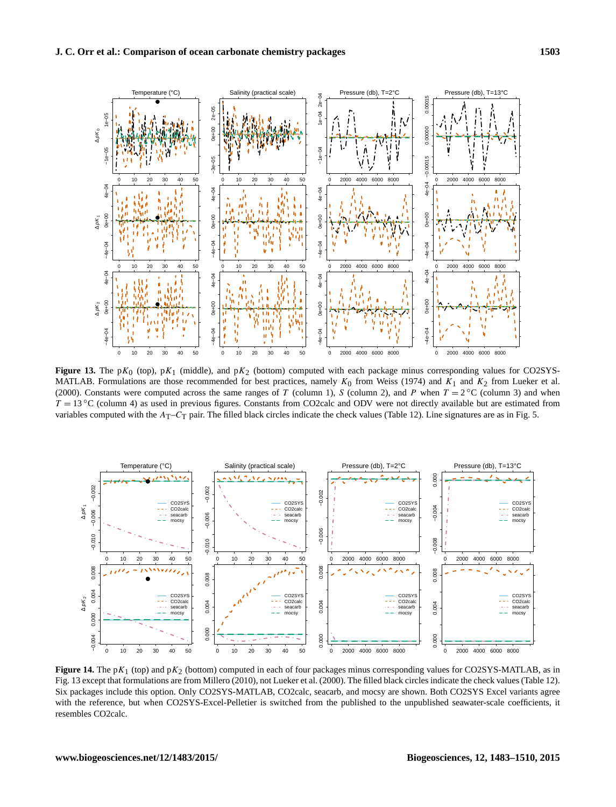<span id="page-20-0"></span>

**Figure 13.** The pK<sub>0</sub> (top), pK<sub>1</sub> (middle), and pK<sub>2</sub> (bottom) computed with each package minus corresponding values for CO2SYS-MATLAB. Formulations are those recommended for best practices, namely  $K_0$  from [Weiss](#page-27-20) [\(1974\)](#page-27-20) and  $K_1$  and  $K_2$  from [Lueker et al.](#page-26-10) [\(2000\)](#page-26-10). Constants were computed across the same ranges of T (column 1), S (column 2), and P when  $T = 2 \degree$ C (column 3) and when  $T = 13 \degree C$  (column 4) as used in previous figures. Constants from CO2calc and ODV were not directly available but are estimated from variables computed with the  $A_T$ – $C_T$  pair. The filled black circles indicate the check values (Table [12\)](#page-19-0). Line signatures are as in Fig. [5.](#page-12-0)

<span id="page-20-1"></span>

**Figure 14.** The pK<sub>1</sub> (top) and pK<sub>2</sub> (bottom) computed in each of four packages minus corresponding values for CO2SYS-MATLAB, as in Fig. [13](#page-20-0) except that formulations are from [Millero](#page-27-19) [\(2010\)](#page-27-19), not [Lueker et al.](#page-26-10) [\(2000\)](#page-26-10). The filled black circles indicate the check values (Table [12\)](#page-19-0). Six packages include this option. Only CO2SYS-MATLAB, CO2calc, seacarb, and mocsy are shown. Both CO2SYS Excel variants agree with the reference, but when CO2SYS-Excel-Pelletier is switched from the published to the unpublished seawater-scale coefficients, it resembles CO2calc.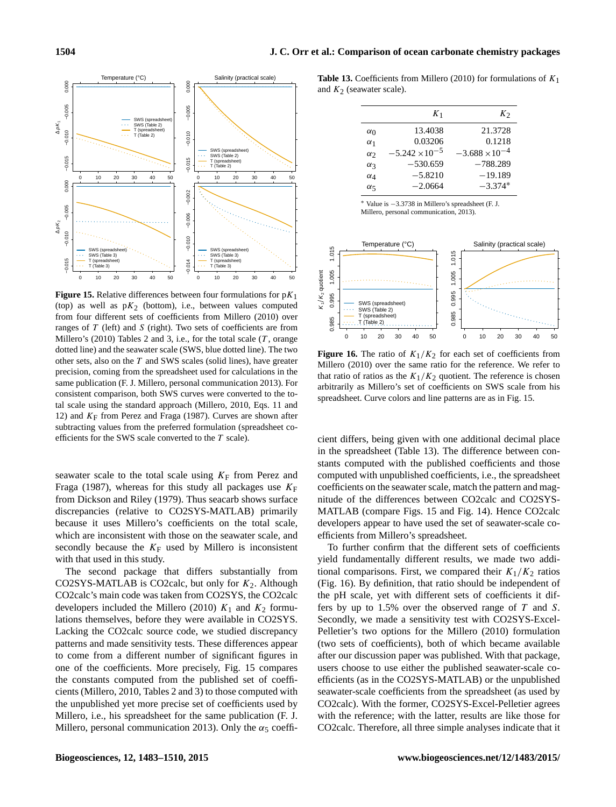<span id="page-21-0"></span>

**Figure 15.** Relative differences between four formulations for  $pK_1$ (top) as well as  $pK<sub>2</sub>$  (bottom), i.e., between values computed from four different sets of coefficients from [Millero](#page-27-19) [\(2010\)](#page-27-19) over ranges of  $T$  (left) and  $S$  (right). Two sets of coefficients are from [Millero'](#page-27-19)s [\(2010\)](#page-27-19) Tables 2 and 3, i.e., for the total scale  $(T, \text{orange})$ dotted line) and the seawater scale (SWS, blue dotted line). The two other sets, also on the  $T$  and SWS scales (solid lines), have greater precision, coming from the spreadsheet used for calculations in the same publication (F. J. Millero, personal communication 2013). For consistent comparison, both SWS curves were converted to the total scale using the standard approach [\(Millero,](#page-27-19) [2010,](#page-27-19) Eqs. 11 and 12) and  $K_F$  from [Perez and Fraga](#page-27-25) [\(1987\)](#page-27-25). Curves are shown after subtracting values from the preferred formulation (spreadsheet coefficients for the SWS scale converted to the T scale).

seawater scale to the total scale using  $K_F$  from [Perez and](#page-27-25) [Fraga](#page-27-25) [\(1987\)](#page-27-25), whereas for this study all packages use  $K_F$ from [Dickson and Riley](#page-26-20) [\(1979\)](#page-26-20). Thus seacarb shows surface discrepancies (relative to CO2SYS-MATLAB) primarily because it uses Millero's coefficients on the total scale, which are inconsistent with those on the seawater scale, and secondly because the  $K_F$  used by Millero is inconsistent with that used in this study.

The second package that differs substantially from CO2SYS-MATLAB is CO2calc, but only for  $K_2$ . Although CO2calc's main code was taken from CO2SYS, the CO2calc developers included the [Millero](#page-27-19) [\(2010\)](#page-27-19)  $K_1$  and  $K_2$  formulations themselves, before they were available in CO2SYS. Lacking the CO2calc source code, we studied discrepancy patterns and made sensitivity tests. These differences appear to come from a different number of significant figures in one of the coefficients. More precisely, Fig. [15](#page-21-0) compares the constants computed from the published set of coefficients [\(Millero,](#page-27-19) [2010,](#page-27-19) Tables 2 and 3) to those computed with the unpublished yet more precise set of coefficients used by Millero, i.e., his spreadsheet for the same publication (F. J. Millero, personal communication 2013). Only the  $\alpha_5$  coeffi-

<span id="page-21-1"></span>**Table 13.** Coefficients from [Millero](#page-27-19) [\(2010\)](#page-27-19) for formulations of  $K_1$ and  $K_2$  (seawater scale).

|            | $K_1$                   | $K_{2}$                 |
|------------|-------------------------|-------------------------|
| $\alpha_0$ | 13.4038                 | 21.3728                 |
| $\alpha_1$ | 0.03206                 | 0.1218                  |
| $\alpha$   | $-5.242 \times 10^{-5}$ | $-3.688 \times 10^{-4}$ |
| $\alpha$ 3 | $-530.659$              | $-788.289$              |
| $\alpha_4$ | $-5.8210$               | $-19.189$               |
| $\alpha$   | $-2.0664$               | $-3.374*$               |
|            |                         |                         |

<sup>∗</sup> Value is −3.3738 in Millero's spreadsheet (F. J. Millero, personal communication, 2013).

<span id="page-21-2"></span>

**Figure 16.** The ratio of  $K_1/K_2$  for each set of coefficients from [Millero](#page-27-19) [\(2010\)](#page-27-19) over the same ratio for the reference. We refer to that ratio of ratios as the  $K_1/K_2$  quotient. The reference is chosen arbitrarily as Millero's set of coefficients on SWS scale from his spreadsheet. Curve colors and line patterns are as in Fig. [15.](#page-21-0)

cient differs, being given with one additional decimal place in the spreadsheet (Table [13\)](#page-21-1). The difference between constants computed with the published coefficients and those computed with unpublished coefficients, i.e., the spreadsheet coefficients on the seawater scale, match the pattern and magnitude of the differences between CO2calc and CO2SYS-MATLAB (compare Figs. [15](#page-21-0) and Fig. [14\)](#page-20-1). Hence CO2calc developers appear to have used the set of seawater-scale coefficients from Millero's spreadsheet.

To further confirm that the different sets of coefficients yield fundamentally different results, we made two additional comparisons. First, we compared their  $K_1/K_2$  ratios (Fig. [16\)](#page-21-2). By definition, that ratio should be independent of the pH scale, yet with different sets of coefficients it differs by up to  $1.5\%$  over the observed range of  $T$  and  $S$ . Secondly, we made a sensitivity test with CO2SYS-Excel-Pelletier's two options for the [Millero](#page-27-19) [\(2010\)](#page-27-19) formulation (two sets of coefficients), both of which became available after our discussion paper was published. With that package, users choose to use either the published seawater-scale coefficients (as in the CO2SYS-MATLAB) or the unpublished seawater-scale coefficients from the spreadsheet (as used by CO2calc). With the former, CO2SYS-Excel-Pelletier agrees with the reference; with the latter, results are like those for CO2calc. Therefore, all three simple analyses indicate that it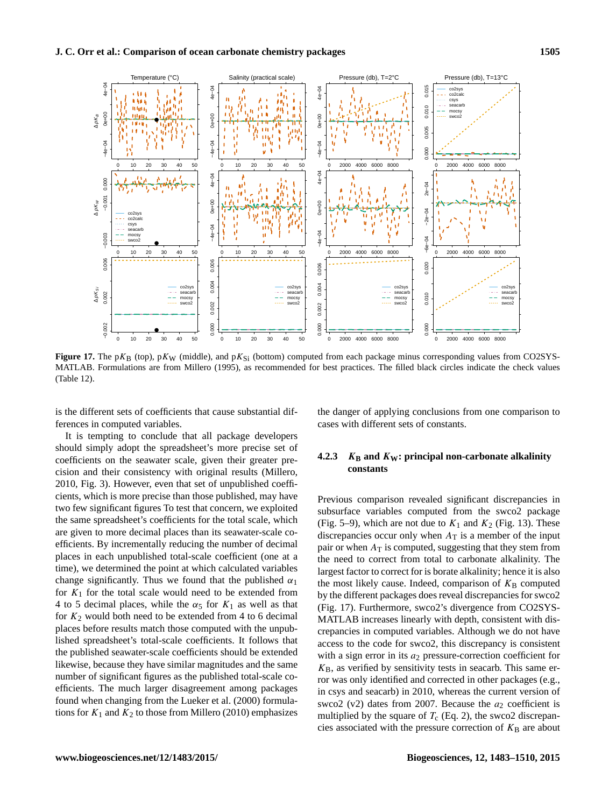<span id="page-22-0"></span>

**Figure 17.** The pK<sub>B</sub> (top), pK<sub>W</sub> (middle), and pK<sub>Si</sub> (bottom) computed from each package minus corresponding values from CO2SYS-MATLAB. Formulations are from [Millero](#page-27-26) [\(1995\)](#page-27-26), as recommended for best practices. The filled black circles indicate the check values (Table [12\)](#page-19-0).

is the different sets of coefficients that cause substantial differences in computed variables.

the danger of applying conclusions from one comparison to cases with different sets of constants.

It is tempting to conclude that all package developers should simply adopt the spreadsheet's more precise set of coefficients on the seawater scale, given their greater precision and their consistency with original results [\(Millero,](#page-27-19) [2010,](#page-27-19) Fig. 3). However, even that set of unpublished coefficients, which is more precise than those published, may have two few significant figures To test that concern, we exploited the same spreadsheet's coefficients for the total scale, which are given to more decimal places than its seawater-scale coefficients. By incrementally reducing the number of decimal places in each unpublished total-scale coefficient (one at a time), we determined the point at which calculated variables change significantly. Thus we found that the published  $\alpha_1$ for  $K_1$  for the total scale would need to be extended from 4 to 5 decimal places, while the  $\alpha_5$  for  $K_1$  as well as that for  $K_2$  would both need to be extended from 4 to 6 decimal places before results match those computed with the unpublished spreadsheet's total-scale coefficients. It follows that the published seawater-scale coefficients should be extended likewise, because they have similar magnitudes and the same number of significant figures as the published total-scale coefficients. The much larger disagreement among packages found when changing from the [Lueker et al.](#page-26-10) [\(2000\)](#page-26-10) formulations for  $K_1$  and  $K_2$  to those from [Millero](#page-27-19) [\(2010\)](#page-27-19) emphasizes

# <span id="page-22-1"></span>**4.2.3**  $K_{\text{B}}$  and  $K_{\text{W}}$ : principal non-carbonate alkalinity **constants**

Previous comparison revealed significant discrepancies in subsurface variables computed from the swco2 package (Fig. [5](#page-12-0)[–9\)](#page-15-0), which are not due to  $K_1$  and  $K_2$  (Fig. [13\)](#page-20-0). These discrepancies occur only when  $A_T$  is a member of the input pair or when  $A_T$  is computed, suggesting that they stem from the need to correct from total to carbonate alkalinity. The largest factor to correct for is borate alkalinity; hence it is also the most likely cause. Indeed, comparison of  $K_B$  computed by the different packages does reveal discrepancies for swco2 (Fig. [17\)](#page-22-0). Furthermore, swco2's divergence from CO2SYS-MATLAB increases linearly with depth, consistent with discrepancies in computed variables. Although we do not have access to the code for swco2, this discrepancy is consistent with a sign error in its  $a_2$  pressure-correction coefficient for  $K_{\rm B}$ , as verified by sensitivity tests in seacarb. This same error was only identified and corrected in other packages (e.g., in csys and seacarb) in 2010, whereas the current version of swco2 (v2) dates from 2007. Because the  $a_2$  coefficient is multiplied by the square of  $T_c$  (Eq. [2\)](#page-7-0), the swco2 discrepancies associated with the pressure correction of  $K_B$  are about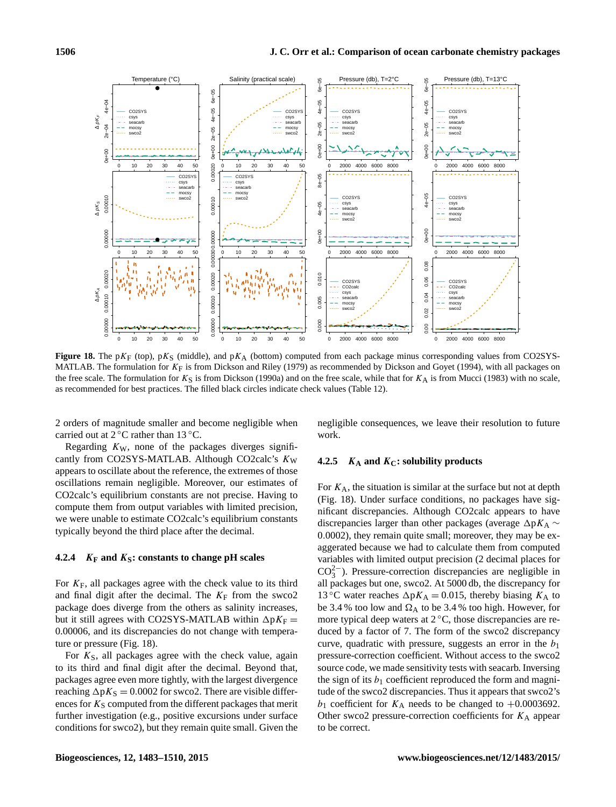<span id="page-23-0"></span>

**Figure 18.** The pK<sub>F</sub> (top), pK<sub>S</sub> (middle), and pK<sub>A</sub> (bottom) computed from each package minus corresponding values from CO2SYS-MATLAB. The formulation for  $K_F$  is from [Dickson and Riley](#page-26-20) [\(1979\)](#page-26-20) as recommended by [Dickson and Goyet](#page-26-3) [\(1994\)](#page-26-3), with all packages on the free scale. The formulation for  $K_S$  is from [Dickson](#page-26-21) [\(1990a\)](#page-26-21) and on the free scale, while that for  $K_A$  is from [Mucci](#page-27-27) [\(1983\)](#page-27-27) with no scale, as recommended for best practices. The filled black circles indicate check values (Table [12\)](#page-19-0).

2 orders of magnitude smaller and become negligible when carried out at  $2^{\circ}$ C rather than 13  $^{\circ}$ C.

Regarding  $K_W$ , none of the packages diverges significantly from CO2SYS-MATLAB. Although CO2calc's  $K_W$ appears to oscillate about the reference, the extremes of those oscillations remain negligible. Moreover, our estimates of CO2calc's equilibrium constants are not precise. Having to compute them from output variables with limited precision, we were unable to estimate CO2calc's equilibrium constants typically beyond the third place after the decimal.

# **4.2.4** K**<sup>F</sup> and** K**S: constants to change pH scales**

For  $K_F$ , all packages agree with the check value to its third and final digit after the decimal. The  $K_F$  from the swco2 package does diverge from the others as salinity increases, but it still agrees with CO2SYS-MATLAB within  $\Delta pK_F =$ 0.00006, and its discrepancies do not change with temperature or pressure (Fig. [18\)](#page-23-0).

For  $K<sub>S</sub>$ , all packages agree with the check value, again to its third and final digit after the decimal. Beyond that, packages agree even more tightly, with the largest divergence reaching  $\Delta pK_S = 0.0002$  for swco2. There are visible differences for  $K<sub>S</sub>$  computed from the different packages that merit further investigation (e.g., positive excursions under surface conditions for swco2), but they remain quite small. Given the negligible consequences, we leave their resolution to future work.

# **4.2.5** K**<sup>A</sup> and** K**C: solubility products**

For  $K_A$ , the situation is similar at the surface but not at depth (Fig. [18\)](#page-23-0). Under surface conditions, no packages have significant discrepancies. Although CO2calc appears to have discrepancies larger than other packages (average  $\Delta pK_A \sim$ 0.0002), they remain quite small; moreover, they may be exaggerated because we had to calculate them from computed variables with limited output precision (2 decimal places for  $CO_3^{2-}$ ). Pressure-correction discrepancies are negligible in all packages but one, swco2. At 5000 db, the discrepancy for 13 °C water reaches  $\Delta pK_A = 0.015$ , thereby biasing  $K_A$  to be 3.4 % too low and  $\Omega_A$  to be 3.4 % too high. However, for more typical deep waters at  $2^{\circ}C$ , those discrepancies are reduced by a factor of 7. The form of the swco2 discrepancy curve, quadratic with pressure, suggests an error in the  $b_1$ pressure-correction coefficient. Without access to the swco2 source code, we made sensitivity tests with seacarb. Inversing the sign of its  $b_1$  coefficient reproduced the form and magnitude of the swco2 discrepancies. Thus it appears that swco2's  $b_1$  coefficient for  $K_A$  needs to be changed to +0.0003692. Other swco2 pressure-correction coefficients for  $K_A$  appear to be correct.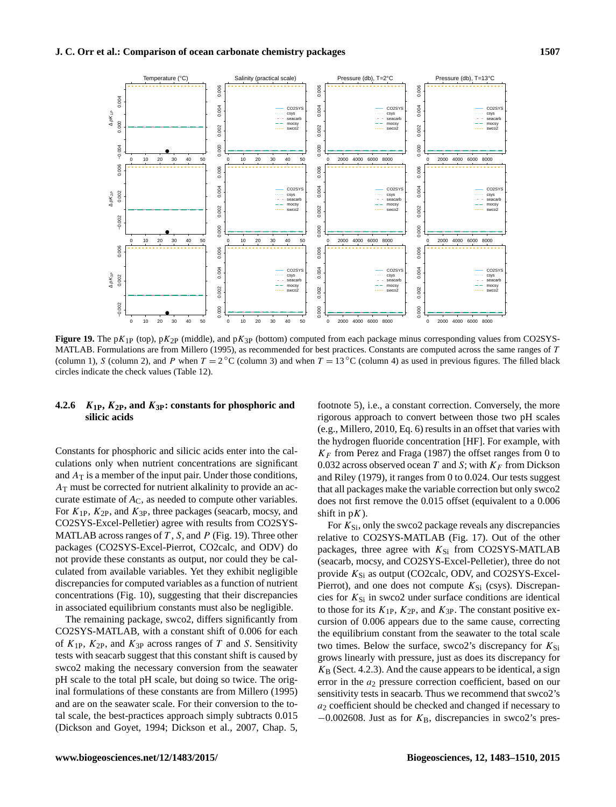<span id="page-24-0"></span>

**Figure 19.** The pK<sub>1P</sub> (top), pK<sub>2P</sub> (middle), and pK<sub>3P</sub> (bottom) computed from each package minus corresponding values from CO2SYS-MATLAB. Formulations are from [Millero](#page-27-26) [\(1995\)](#page-27-26), as recommended for best practices. Constants are computed across the same ranges of T (column 1), S (column 2), and P when  $T = 2 \degree C$  (column 3) and when  $T = 13 \degree C$  (column 4) as used in previous figures. The filled black circles indicate the check values (Table [12\)](#page-19-0).

# **4.2.6** K**1P,** K**2P, and** K**3P: constants for phosphoric and silicic acids**

Constants for phosphoric and silicic acids enter into the calculations only when nutrient concentrations are significant and  $A_T$  is a member of the input pair. Under those conditions,  $A<sub>T</sub>$  must be corrected for nutrient alkalinity to provide an accurate estimate of  $A<sub>C</sub>$ , as needed to compute other variables. For  $K_{1P}$ ,  $K_{2P}$ , and  $K_{3P}$ , three packages (seacarb, mocsy, and CO2SYS-Excel-Pelletier) agree with results from CO2SYS-MATLAB across ranges of  $T$ ,  $S$ , and  $P$  (Fig. [19\)](#page-24-0). Three other packages (CO2SYS-Excel-Pierrot, CO2calc, and ODV) do not provide these constants as output, nor could they be calculated from available variables. Yet they exhibit negligible discrepancies for computed variables as a function of nutrient concentrations (Fig. [10\)](#page-16-0), suggesting that their discrepancies in associated equilibrium constants must also be negligible.

The remaining package, swco2, differs significantly from CO2SYS-MATLAB, with a constant shift of 0.006 for each of  $K_{1P}$ ,  $K_{2P}$ , and  $K_{3P}$  across ranges of T and S. Sensitivity tests with seacarb suggest that this constant shift is caused by swco2 making the necessary conversion from the seawater pH scale to the total pH scale, but doing so twice. The original formulations of these constants are from [Millero](#page-27-26) [\(1995\)](#page-27-26) and are on the seawater scale. For their conversion to the total scale, the best-practices approach simply subtracts 0.015 [\(Dickson and Goyet,](#page-26-3) [1994;](#page-26-3) [Dickson et al.,](#page-26-4) [2007,](#page-26-4) Chap. 5,

footnote 5), i.e., a constant correction. Conversely, the more rigorous approach to convert between those two pH scales (e.g., [Millero,](#page-27-19) [2010,](#page-27-19) Eq. 6) results in an offset that varies with the hydrogen fluoride concentration [HF]. For example, with  $K_F$  from [Perez and Fraga](#page-27-25) [\(1987\)](#page-27-25) the offset ranges from 0 to 0.032 across observed ocean T and S; with  $K_F$  from [Dickson](#page-26-20) [and Riley](#page-26-20) [\(1979\)](#page-26-20), it ranges from 0 to 0.024. Our tests suggest that all packages make the variable correction but only swco2 does not first remove the 0.015 offset (equivalent to a 0.006 shift in  $pK$ ).

For  $K_{\text{Si}}$ , only the swco2 package reveals any discrepancies relative to CO2SYS-MATLAB (Fig. [17\)](#page-22-0). Out of the other packages, three agree with  $K_{Si}$  from CO2SYS-MATLAB (seacarb, mocsy, and CO2SYS-Excel-Pelletier), three do not provide  $K_{Si}$  as output (CO2calc, ODV, and CO2SYS-Excel-Pierrot), and one does not compute  $K_{Si}$  (csys). Discrepancies for  $K_{Si}$  in swco2 under surface conditions are identical to those for its  $K_{1P}$ ,  $K_{2P}$ , and  $K_{3P}$ . The constant positive excursion of 0.006 appears due to the same cause, correcting the equilibrium constant from the seawater to the total scale two times. Below the surface, swco2's discrepancy for  $K_{Si}$ grows linearly with pressure, just as does its discrepancy for  $K_{\rm B}$  (Sect. [4.2.3\)](#page-22-1). And the cause appears to be identical, a sign error in the  $a_2$  pressure correction coefficient, based on our sensitivity tests in seacarb. Thus we recommend that swco2's  $a_2$  coefficient should be checked and changed if necessary to  $-0.002608$ . Just as for  $K_B$ , discrepancies in swco2's pres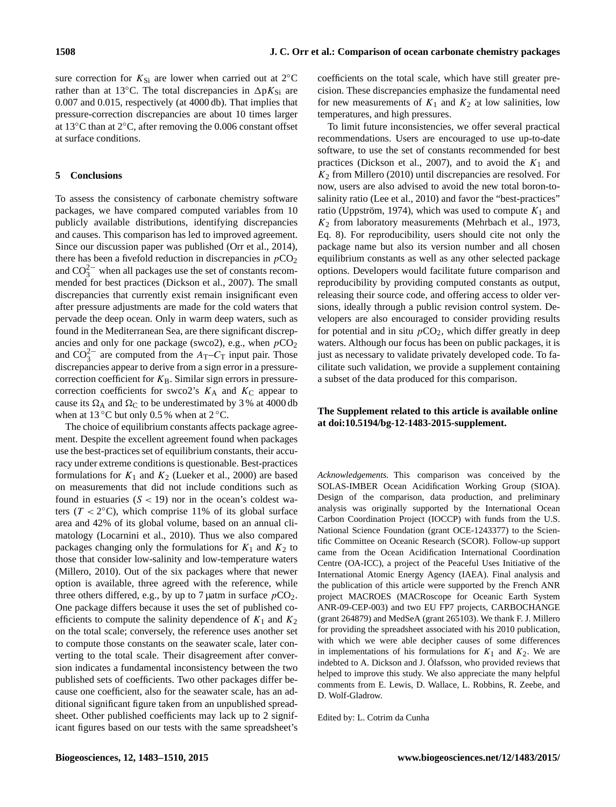sure correction for  $K_{Si}$  are lower when carried out at 2°C rather than at 13 $^{\circ}$ C. The total discrepancies in  $\Delta pK_{Si}$  are 0.007 and 0.015, respectively (at 4000 db). That implies that pressure-correction discrepancies are about 10 times larger at 13◦C than at 2◦C, after removing the 0.006 constant offset at surface conditions.

# **5 Conclusions**

To assess the consistency of carbonate chemistry software packages, we have compared computed variables from 10 publicly available distributions, identifying discrepancies and causes. This comparison has led to improved agreement. Since our discussion paper was published [\(Orr et al.,](#page-27-16) [2014\)](#page-27-16), there has been a fivefold reduction in discrepancies in  $pCO<sub>2</sub>$ and  $CO_3^{2-}$  when all packages use the set of constants recommended for best practices [\(Dickson et al.,](#page-26-4) [2007\)](#page-26-4). The small discrepancies that currently exist remain insignificant even after pressure adjustments are made for the cold waters that pervade the deep ocean. Only in warm deep waters, such as found in the Mediterranean Sea, are there significant discrepancies and only for one package (swco2), e.g., when  $pCO<sub>2</sub>$ and  $CO_3^{2-}$  are computed from the  $A_T-C_T$  input pair. Those discrepancies appear to derive from a sign error in a pressurecorrection coefficient for  $K_B$ . Similar sign errors in pressurecorrection coefficients for swco2's  $K_A$  and  $K_C$  appear to cause its  $\Omega_A$  and  $\Omega_C$  to be underestimated by 3 % at 4000 db when at  $13 °C$  but only 0.5 % when at  $2 °C$ .

The choice of equilibrium constants affects package agreement. Despite the excellent agreement found when packages use the best-practices set of equilibrium constants, their accuracy under extreme conditions is questionable. Best-practices formulations for  $K_1$  and  $K_2$  [\(Lueker et al.,](#page-26-10) [2000\)](#page-26-10) are based on measurements that did not include conditions such as found in estuaries  $(S < 19)$  nor in the ocean's coldest waters  $(T < 2^{\circ}C)$ , which comprise 11% of its global surface area and 42% of its global volume, based on an annual climatology [\(Locarnini et al.,](#page-26-24) [2010\)](#page-26-24). Thus we also compared packages changing only the formulations for  $K_1$  and  $K_2$  to those that consider low-salinity and low-temperature waters [\(Millero,](#page-27-19) [2010\)](#page-27-19). Out of the six packages where that newer option is available, three agreed with the reference, while three others differed, e.g., by up to 7 µatm in surface  $pCO_2$ . One package differs because it uses the set of published coefficients to compute the salinity dependence of  $K_1$  and  $K_2$ on the total scale; conversely, the reference uses another set to compute those constants on the seawater scale, later converting to the total scale. Their disagreement after conversion indicates a fundamental inconsistency between the two published sets of coefficients. Two other packages differ because one coefficient, also for the seawater scale, has an additional significant figure taken from an unpublished spreadsheet. Other published coefficients may lack up to 2 significant figures based on our tests with the same spreadsheet's coefficients on the total scale, which have still greater precision. These discrepancies emphasize the fundamental need for new measurements of  $K_1$  and  $K_2$  at low salinities, low temperatures, and high pressures.

To limit future inconsistencies, we offer several practical recommendations. Users are encouraged to use up-to-date software, to use the set of constants recommended for best practices [\(Dickson et al.,](#page-26-4) [2007\)](#page-26-4), and to avoid the  $K_1$  and  $K<sub>2</sub>$  from [Millero](#page-27-19) [\(2010\)](#page-27-19) until discrepancies are resolved. For now, users are also advised to avoid the new total boron-tosalinity ratio [\(Lee et al.,](#page-26-27) [2010\)](#page-26-27) and favor the "best-practices" ratio [\(Uppström,](#page-27-28) [1974\)](#page-27-28), which was used to compute  $K_1$  and  $K_2$  from laboratory measurements [\(Mehrbach et al.,](#page-27-17) [1973,](#page-27-17) Eq. 8). For reproducibility, users should cite not only the package name but also its version number and all chosen equilibrium constants as well as any other selected package options. Developers would facilitate future comparison and reproducibility by providing computed constants as output, releasing their source code, and offering access to older versions, ideally through a public revision control system. Developers are also encouraged to consider providing results for potential and in situ  $pCO<sub>2</sub>$ , which differ greatly in deep waters. Although our focus has been on public packages, it is just as necessary to validate privately developed code. To facilitate such validation, we provide a supplement containing a subset of the data produced for this comparison.

# **The Supplement related to this article is available online at [doi:10.5194/bg-12-1483-2015-supplement.](http://dx.doi.org/10.5194/bg-12-1483-2015-supplement)**

*Acknowledgements.* This comparison was conceived by the SOLAS-IMBER Ocean Acidification Working Group (SIOA). Design of the comparison, data production, and preliminary analysis was originally supported by the International Ocean Carbon Coordination Project (IOCCP) with funds from the U.S. National Science Foundation (grant OCE-1243377) to the Scientific Committee on Oceanic Research (SCOR). Follow-up support came from the Ocean Acidification International Coordination Centre (OA-ICC), a project of the Peaceful Uses Initiative of the International Atomic Energy Agency (IAEA). Final analysis and the publication of this article were supported by the French ANR project MACROES (MACRoscope for Oceanic Earth System ANR-09-CEP-003) and two EU FP7 projects, CARBOCHANGE (grant 264879) and MedSeA (grant 265103). We thank F. J. Millero for providing the spreadsheet associated with his 2010 publication, with which we were able decipher causes of some differences in implementations of his formulations for  $K_1$  and  $K_2$ . We are indebted to A. Dickson and J. Ólafsson, who provided reviews that helped to improve this study. We also appreciate the many helpful comments from E. Lewis, D. Wallace, L. Robbins, R. Zeebe, and D. Wolf-Gladrow.

Edited by: L. Cotrim da Cunha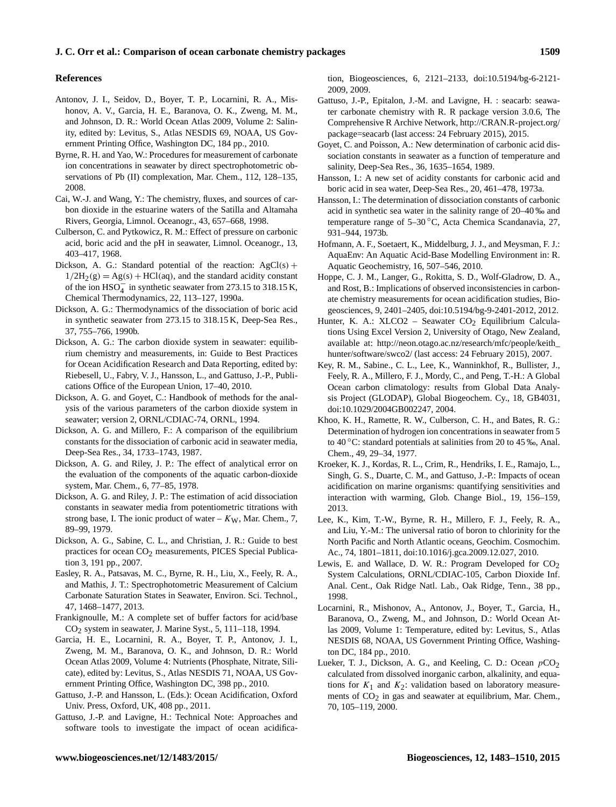# **J. C. Orr et al.: Comparison of ocean carbonate chemistry packages 1509**

#### **References**

- <span id="page-26-25"></span>Antonov, J. I., Seidov, D., Boyer, T. P., Locarnini, R. A., Mishonov, A. V., Garcia, H. E., Baranova, O. K., Zweng, M. M., and Johnson, D. R.: World Ocean Atlas 2009, Volume 2: Salinity, edited by: Levitus, S., Atlas NESDIS 69, NOAA, US Government Printing Office, Washington DC, 184 pp., 2010.
- <span id="page-26-12"></span>Byrne, R. H. and Yao, W.: Procedures for measurement of carbonate ion concentrations in seawater by direct spectrophotometric observations of Pb (II) complexation, Mar. Chem., 112, 128–135, 2008.
- <span id="page-26-18"></span>Cai, W.-J. and Wang, Y.: The chemistry, fluxes, and sources of carbon dioxide in the estuarine waters of the Satilla and Altamaha Rivers, Georgia, Limnol. Oceanogr., 43, 657–668, 1998.
- <span id="page-26-28"></span>Culberson, C. and Pytkowicz, R. M.: Effect of pressure on carbonic acid, boric acid and the pH in seawater, Limnol. Oceanogr., 13, 403–417, 1968.
- <span id="page-26-21"></span>Dickson, A. G.: Standard potential of the reaction:  $AgCl(s)$  +  $1/2H_2(g) = Ag(s) + HCl(aq)$ , and the standard acidity constant of the ion  $H\text{SO}_4^-$  in synthetic seawater from 273.15 to 318.15 K, Chemical Thermodynamics, 22, 113–127, 1990a.
- <span id="page-26-19"></span>Dickson, A. G.: Thermodynamics of the dissociation of boric acid in synthetic seawater from 273.15 to 318.15 K, Deep-Sea Res., 37, 755–766, 1990b.
- <span id="page-26-5"></span>Dickson, A. G.: The carbon dioxide system in seawater: equilibrium chemistry and measurements, in: Guide to Best Practices for Ocean Acidification Research and Data Reporting, edited by: Riebesell, U., Fabry, V. J., Hansson, L., and Gattuso, J.-P., Publications Office of the European Union, 17–40, 2010.
- <span id="page-26-3"></span>Dickson, A. G. and Goyet, C.: Handbook of methods for the analysis of the various parameters of the carbon dioxide system in seawater; version 2, ORNL/CDIAC-74, ORNL, 1994.
- <span id="page-26-11"></span>Dickson, A. G. and Millero, F.: A comparison of the equilibrium constants for the dissociation of carbonic acid in seawater media, Deep-Sea Res., 34, 1733–1743, 1987.
- <span id="page-26-30"></span>Dickson, A. G. and Riley, J. P.: The effect of analytical error on the evaluation of the components of the aquatic carbon-dioxide system, Mar. Chem., 6, 77–85, 1978.
- <span id="page-26-20"></span>Dickson, A. G. and Riley, J. P.: The estimation of acid dissociation constants in seawater media from potentiometric titrations with strong base, I. The ionic product of water –  $K_W$ , Mar. Chem., 7, 89–99, 1979.
- <span id="page-26-4"></span>Dickson, A. G., Sabine, C. L., and Christian, J. R.: Guide to best practices for ocean CO<sub>2</sub> measurements, PICES Special Publication 3, 191 pp., 2007.
- <span id="page-26-13"></span>Easley, R. A., Patsavas, M. C., Byrne, R. H., Liu, X., Feely, R. A., and Mathis, J. T.: Spectrophotometric Measurement of Calcium Carbonate Saturation States in Seawater, Environ. Sci. Technol., 47, 1468–1477, 2013.
- <span id="page-26-29"></span>Frankignoulle, M.: A complete set of buffer factors for acid/base CO2 system in seawater, J. Marine Syst., 5, 111–118, 1994.
- <span id="page-26-26"></span>Garcia, H. E., Locarnini, R. A., Boyer, T. P., Antonov, J. I., Zweng, M. M., Baranova, O. K., and Johnson, D. R.: World Ocean Atlas 2009, Volume 4: Nutrients (Phosphate, Nitrate, Silicate), edited by: Levitus, S., Atlas NESDIS 71, NOAA, US Government Printing Office, Washington DC, 398 pp., 2010.
- <span id="page-26-0"></span>Gattuso, J.-P. and Hansson, L. (Eds.): Ocean Acidification, Oxford Univ. Press, Oxford, UK, 408 pp., 2011.
- <span id="page-26-14"></span>Gattuso, J.-P. and Lavigne, H.: Technical Note: Approaches and software tools to investigate the impact of ocean acidifica-

tion, Biogeosciences, 6, 2121–2133, doi[:10.5194/bg-6-2121-](http://dx.doi.org/10.5194/bg-6-2121-2009) [2009,](http://dx.doi.org/10.5194/bg-6-2121-2009) 2009.

- <span id="page-26-6"></span>Gattuso, J.-P., Epitalon, J.-M. and Lavigne, H. : seacarb: seawater carbonate chemistry with R. R package version 3.0.6, The Comprehensive R Archive Network, [http://CRAN.R-project.org/](http://CRAN.R-project.org/package=seacarb) [package=seacarb](http://CRAN.R-project.org/package=seacarb) (last access: 24 February 2015), 2015.
- <span id="page-26-15"></span>Goyet, C. and Poisson, A.: New determination of carbonic acid dissociation constants in seawater as a function of temperature and salinity, Deep-Sea Res., 36, 1635–1654, 1989.
- <span id="page-26-16"></span>Hansson, I.: A new set of acidity constants for carbonic acid and boric acid in sea water, Deep-Sea Res., 20, 461–478, 1973a.
- <span id="page-26-17"></span>Hansson, I.: The determination of dissociation constants of carbonic acid in synthetic sea water in the salinity range of 20–40 ‰ and temperature range of 5–30 ◦C, Acta Chemica Scandanavia, 27, 931–944, 1973b.
- <span id="page-26-8"></span>Hofmann, A. F., Soetaert, K., Middelburg, J. J., and Meysman, F. J.: AquaEnv: An Aquatic Acid-Base Modelling Environment in: R. Aquatic Geochemistry, 16, 507–546, 2010.
- <span id="page-26-9"></span>Hoppe, C. J. M., Langer, G., Rokitta, S. D., Wolf-Gladrow, D. A., and Rost, B.: Implications of observed inconsistencies in carbonate chemistry measurements for ocean acidification studies, Biogeosciences, 9, 2401–2405, doi[:10.5194/bg-9-2401-2012,](http://dx.doi.org/10.5194/bg-9-2401-2012) 2012.
- <span id="page-26-7"></span>Hunter, K. A.: XLCO2 – Seawater  $CO<sub>2</sub>$  Equilibrium Calculations Using Excel Version 2, University of Otago, New Zealand, available at: [http://neon.otago.ac.nz/research/mfc/people/keith\\_](http://neon.otago.ac.nz/research/mfc/people/keith_hunter/software/swco2/) [hunter/software/swco2/](http://neon.otago.ac.nz/research/mfc/people/keith_hunter/software/swco2/) (last access: 24 February 2015), 2007.
- <span id="page-26-23"></span>Key, R. M., Sabine., C. L., Lee, K., Wanninkhof, R., Bullister, J., Feely, R. A., Millero, F. J., Mordy, C., and Peng, T.-H.: A Global Ocean carbon climatology: results from Global Data Analysis Project (GLODAP), Global Biogeochem. Cy., 18, GB4031, doi[:10.1029/2004GB002247,](http://dx.doi.org/10.1029/2004GB002247) 2004.
- <span id="page-26-22"></span>Khoo, K. H., Ramette, R. W., Culberson, C. H., and Bates, R. G.: Determination of hydrogen ion concentrations in seawater from 5 to 40 ℃: standard potentials at salinities from 20 to 45 ‰, Anal. Chem., 49, 29–34, 1977.
- <span id="page-26-1"></span>Kroeker, K. J., Kordas, R. L., Crim, R., Hendriks, I. E., Ramajo, L., Singh, G. S., Duarte, C. M., and Gattuso, J.-P.: Impacts of ocean acidification on marine organisms: quantifying sensitivities and interaction with warming, Glob. Change Biol., 19, 156–159, 2013.
- <span id="page-26-27"></span>Lee, K., Kim, T.-W., Byrne, R. H., Millero, F. J., Feely, R. A., and Liu, Y.-M.: The universal ratio of boron to chlorinity for the North Pacific and North Atlantic oceans, Geochim. Cosmochim. Ac., 74, 1801–1811, doi[:10.1016/j.gca.2009.12.027,](http://dx.doi.org/10.1016/j.gca.2009.12.027) 2010.
- <span id="page-26-2"></span>Lewis, E. and Wallace, D. W. R.: Program Developed for  $CO<sub>2</sub>$ System Calculations, ORNL/CDIAC-105, Carbon Dioxide Inf. Anal. Cent., Oak Ridge Natl. Lab., Oak Ridge, Tenn., 38 pp., 1998.
- <span id="page-26-24"></span>Locarnini, R., Mishonov, A., Antonov, J., Boyer, T., Garcia, H., Baranova, O., Zweng, M., and Johnson, D.: World Ocean Atlas 2009, Volume 1: Temperature, edited by: Levitus, S., Atlas NESDIS 68, NOAA, US Government Printing Office, Washington DC, 184 pp., 2010.
- <span id="page-26-10"></span>Lueker, T. J., Dickson, A. G., and Keeling, C. D.: Ocean  $pCO<sub>2</sub>$ calculated from dissolved inorganic carbon, alkalinity, and equations for  $K_1$  and  $K_2$ : validation based on laboratory measurements of  $CO<sub>2</sub>$  in gas and seawater at equilibrium, Mar. Chem., 70, 105–119, 2000.